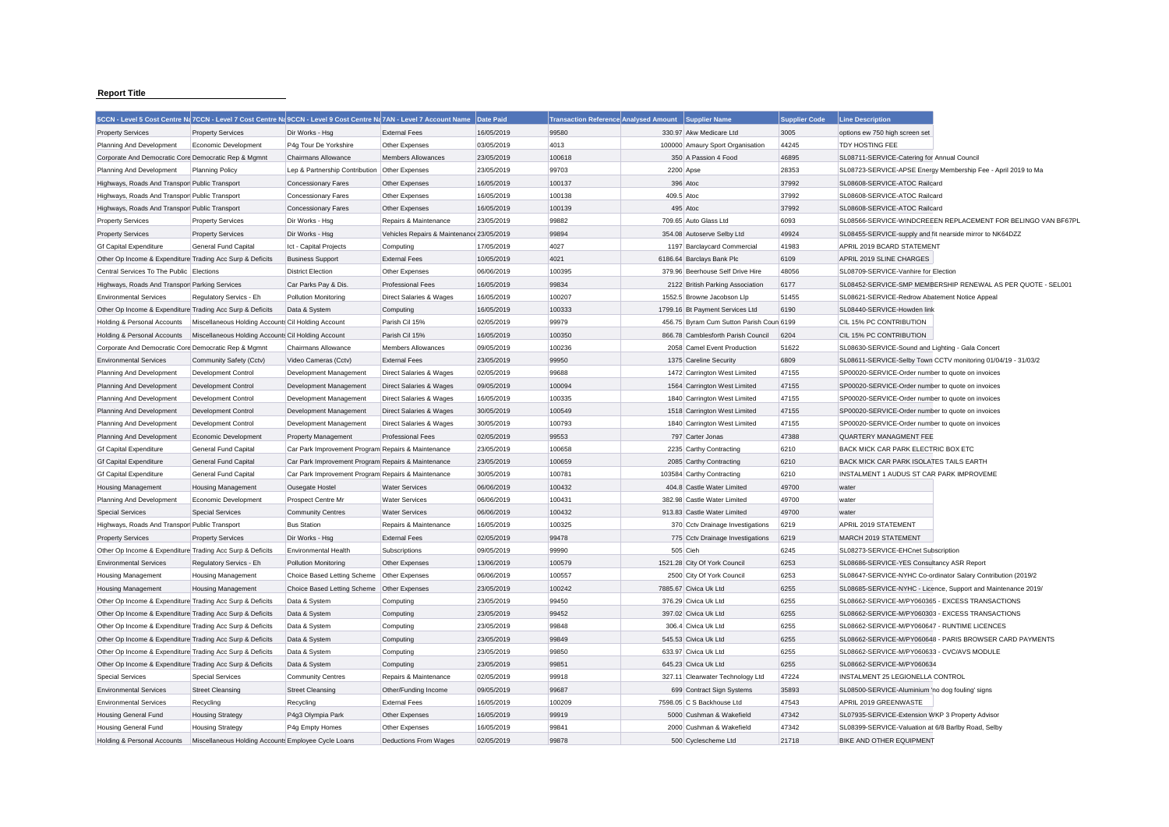## **Report Title**

| 99580<br><b>External Fees</b><br>16/05/2019<br>330.97 Akw Medicare Ltd<br>3005<br>options ew 750 high screen set<br><b>Property Services</b><br>Dir Works - Hsg<br>03/05/2019<br>4013<br>100000 Amaury Sport Organisation<br>44245<br><b>TDY HOSTING FEE</b><br>Economic Development<br>P4g Tour De Yorkshire<br>Other Expenses<br>23/05/2019<br>100618<br>350 A Passion 4 Food<br>46895<br>SL08711-SERVICE-Catering for Annual Council<br>Corporate And Democratic Core Democratic Rep & Mgmnt<br>Chairmans Allowance<br><b>Members Allowances</b><br>99703<br>28353<br><b>Planning Policy</b><br>Lep & Partnership Contribution Other Expenses<br>23/05/2019<br>2200 Apse<br>SL08723-SERVICE-APSE Energy Membership Fee - April 2019 to Ma<br>100137<br>396 Atoc<br>37992<br>Highways, Roads And Transpor Public Transport<br><b>Concessionary Fares</b><br>Other Expenses<br>16/05/2019<br>SL08608-SERVICE-ATOC Railcard<br>100138<br>37992<br>Highways, Roads And Transpor Public Transport<br>16/05/2019<br>409.5 Atoc<br>SL08608-SERVICE-ATOC Railcard<br><b>Concessionary Fares</b><br>Other Expenses<br>100139<br>37992<br>Highways, Roads And Transpor Public Transport<br>16/05/2019<br>495 Atoc<br>SL08608-SERVICE-ATOC Railcard<br><b>Concessionary Fares</b><br>Other Expenses<br>23/05/2019<br>99882<br>709.65 Auto Glass Ltd<br>6093<br>SL08566-SERVICE-WINDCREEEN REPLACEMENT FOR BELINGO VAN BF67PL<br>Dir Works - Hsg<br><b>Property Services</b><br>Repairs & Maintenance<br>Vehicles Repairs & Maintenance 23/05/2019<br>99894<br>354.08 Autoserve Selby Ltd<br>49924<br><b>Property Services</b><br>Dir Works - Hsg<br>SL08455-SERVICE-supply and fit nearside mirror to NK64DZZ<br>41983<br>General Fund Capital<br>Ict - Capital Projects<br>17/05/2019<br>4027<br>1197 Barclaycard Commercial<br>APRIL 2019 BCARD STATEMENT<br>Computing<br>4021<br>6109<br>APRIL 2019 SLINE CHARGES<br>Other Op Income & Expenditure Trading Acc Surp & Deficits<br><b>Business Support</b><br><b>External Fees</b><br>10/05/2019<br>6186.64 Barclays Bank Plc<br>Central Services To The Public Elections<br>06/06/2019<br>100395<br>48056<br><b>District Election</b><br>Other Expenses<br>379.96 Beerhouse Self Drive Hire<br>SL08709-SERVICE-Vanhire for Election<br>SL08452-SERVICE-SMP MEMBERSHIP RENEWAL AS PER QUOTE - SEL001<br>16/05/2019<br>99834<br>2122 British Parking Association<br>6177<br>Highways, Roads And Transpor Parking Services<br>Car Parks Pay & Dis.<br><b>Professional Fees</b><br>100207<br>51455<br>Direct Salaries & Wages<br>16/05/2019<br>1552.5 Browne Jacobson Llp<br>SL08621-SERVICE-Redrow Abatement Notice Appeal<br>Regulatory Servics - Eh<br>Pollution Monitoring<br>100333<br>1799.16 Bt Payment Services Ltd<br>SL08440-SERVICE-Howden link<br>Other Op Income & Expenditure Trading Acc Surp & Deficits<br>Data & System<br>16/05/2019<br>6190<br>Computing<br>99979<br>Miscellaneous Holding Accounts Cil Holding Account<br>Parish Cil 15%<br>02/05/2019<br>456.75 Byram Cum Sutton Parish Coun 6199<br>CIL 15% PC CONTRIBUTION<br>100350<br>866.78 Camblesforth Parish Council<br>Miscellaneous Holding Accounts Cil Holding Account<br>Parish Cil 15%<br>16/05/2019<br>6204<br>CIL 15% PC CONTRIBUTION<br>100236<br>09/05/2019<br>2058 Camel Event Production<br>51622<br>Corporate And Democratic Core Democratic Rep & Mgmnt<br><b>Members Allowances</b><br>SL08630-SERVICE-Sound and Lighting - Gala Concert<br><b>Chairmans Allowance</b><br><b>External Fees</b><br>23/05/2019<br>99950<br>1375 Careline Security<br>6809<br>SL08611-SERVICE-Selby Town CCTV monitoring 01/04/19 - 31/03/2<br>Community Safety (Cctv)<br>Video Cameras (Cctv)<br>99688<br>47155<br>02/05/2019<br>1472 Carrington West Limited<br>SP00020-SERVICE-Order number to quote on invoices<br><b>Development Control</b><br>Development Management<br><b>Direct Salaries &amp; Wages</b><br>100094<br>47155<br>Development Control<br>Development Management<br>Direct Salaries & Wages<br>09/05/2019<br>1564 Carrington West Limited<br>SP00020-SERVICE-Order number to quote on invoices<br>47155<br>16/05/2019<br>100335<br>SP00020-SERVICE-Order number to quote on invoices<br><b>Development Control</b><br>Development Management<br>Direct Salaries & Wages<br>1840 Carrington West Limited<br>100549<br>1518 Carrington West Limited<br>47155<br>Development Control<br>Development Management<br>Direct Salaries & Wages<br>30/05/2019<br>SP00020-SERVICE-Order number to quote on invoices<br>100793<br>47155<br>30/05/2019<br>1840 Carrington West Limited<br>SP00020-SERVICE-Order number to quote on invoices<br>Development Control<br>Development Management<br><b>Direct Salaries &amp; Wages</b><br>99553<br>47388<br>Economic Development<br><b>Professional Fees</b><br>02/05/2019<br>797 Carter Jonas<br>QUARTERY MANAGMENT FEE<br><b>Property Management</b><br>100658<br>6210<br>General Fund Capital<br>Car Park Improvement Program Repairs & Maintenance<br>23/05/2019<br>2235 Carthy Contracting<br>BACK MICK CAR PARK ELECTRIC BOX ETC<br>General Fund Capital<br>Car Park Improvement Program Repairs & Maintenance<br>100659<br>6210<br>BACK MICK CAR PARK ISOLATES TAILS EARTH<br>23/05/2019<br>2085 Carthy Contracting<br>100781<br>6210<br><b>General Fund Capital</b><br>Car Park Improvement Program Repairs & Maintenance<br>30/05/2019<br>103584 Carthy Contracting<br>INSTALMENT 1 AUDUS ST CAR PARK IMPROVEME<br>100432<br><b>Housing Management</b><br>Ousegate Hostel<br><b>Water Services</b><br>06/06/2019<br>404.8 Castle Water Limited<br>49700<br>water<br>100431<br>382.98 Castle Water Limited<br>49700<br>Economic Development<br>Prospect Centre Mr<br><b>Water Services</b><br>06/06/2019<br>water<br>100432<br><b>Special Services</b><br>06/06/2019<br>913.83 Castle Water Limited<br>49700<br><b>Community Centres</b><br><b>Water Services</b><br>water<br>100325<br>APRIL 2019 STATEMENT<br>Highways, Roads And Transpor Public Transport<br><b>Bus Station</b><br>Repairs & Maintenance<br>16/05/2019<br>370 Cctv Drainage Investigations<br>6219<br><b>Property Services</b><br>Dir Works - Hsg<br><b>External Fees</b><br>02/05/2019<br>99478<br>775 Cctv Drainage Investigations<br>6219<br>MARCH 2019 STATEMENT<br>6245<br>Other Op Income & Expenditure Trading Acc Surp & Deficits<br>09/05/2019<br>99990<br>505 Cieh<br>SL08273-SERVICE-EHCnet Subscription<br><b>Environmental Health</b><br>Subscriptions<br>Regulatory Servics - Eh<br><b>Pollution Monitoring</b><br>Other Expenses<br>13/06/2019<br>100579<br>1521.28 City Of York Council<br>6253<br>SL08686-SERVICE-YES Consultancy ASR Report<br>100557<br>6253<br><b>Housing Management</b><br>Choice Based Letting Scheme<br>Other Expenses<br>06/06/2019<br>2500 City Of York Council<br>SL08647-SERVICE-NYHC Co-ordinator Salary Contribution (2019/2<br>100242<br>Choice Based Letting Scheme Other Expenses<br>23/05/2019<br>7885.67 Civica Uk Ltd<br>6255<br><b>Housing Management</b><br>SL08685-SERVICE-NYHC - Licence, Support and Maintenance 2019/<br>6255<br>Other Op Income & Expenditure Trading Acc Surp & Deficits<br>Data & System<br>23/05/2019<br>99450<br>376.29 Civica Uk Ltd<br>SL08662-SERVICE-M/PY060365 - EXCESS TRANSACTIONS<br>Computing<br>6255<br>Other Op Income & Expenditure Trading Acc Surp & Deficits<br>Data & System<br>Computing<br>23/05/2019<br>99452<br>397.02 Civica Uk Ltd<br>SL08662-SERVICE-M/PY060303 - EXCESS TRANSACTIONS<br>99848<br>6255<br>23/05/2019<br>Other Op Income & Expenditure Trading Acc Surp & Deficits<br>Data & System<br>Computing<br>306.4 Civica Uk Ltd<br>SL08662-SERVICE-M/PY060647 - RUNTIME LICENCES<br>Other Op Income & Expenditure Trading Acc Surp & Deficits<br>Data & System<br>Computing<br>23/05/2019<br>99849<br>545.53 Civica Uk Ltd<br>6255<br>SL08662-SERVICE-M/PY060648 - PARIS BROWSER CARD PAYMENTS<br>99850<br>6255<br>Other Op Income & Expenditure Trading Acc Surp & Deficits<br>Data & System<br>Computing<br>23/05/2019<br>633.97 Civica Uk Ltd<br>SL08662-SERVICE-M/PY060633 - CVC/AVS MODULE<br>99851<br>6255<br>SL08662-SERVICE-M/PY060634<br>Other Op Income & Expenditure Trading Acc Surp & Deficits<br>Data & System<br>Computing<br>23/05/2019<br>645.23 Civica Uk Ltd<br>47224<br><b>Special Services</b><br><b>Community Centres</b><br>Repairs & Maintenance<br>02/05/2019<br>99918<br>327.11 Clearwater Technology Ltd<br>INSTALMENT 25 LEGIONELLA CONTROL<br><b>Street Cleansing</b><br><b>Street Cleansing</b><br>Other/Funding Income<br>09/05/2019<br>99687<br>699 Contract Sign Systems<br>35893<br>SL08500-SERVICE-Aluminium 'no dog fouling' signs<br>100209<br>47543<br>APRIL 2019 GREENWASTE<br>Recycling<br>Recycling<br><b>External Fees</b><br>16/05/2019<br>7598.05 C S Backhouse Ltd<br><b>Housing General Fund</b><br>P4q3 Olympia Park<br>Other Expenses<br>16/05/2019<br>99919<br>5000 Cushman & Wakefield<br>47342<br>SL07935-SERVICE-Extension WKP 3 Property Advisor<br><b>Housing Strategy</b><br>99841<br>47342<br><b>Housing General Fund</b><br><b>Housing Strategy</b><br>P4q Empty Homes<br>Other Expenses<br>16/05/2019<br>2000 Cushman & Wakefield<br>SL08399-SERVICE-Valuation at 6/8 Barlby Road, Selby<br>99878<br>21718<br>BIKE AND OTHER EQUIPMENT<br>Miscellaneous Holding Accounts Employee Cycle Loans<br><b>Deductions From Wages</b><br>02/05/2019<br>500 Cyclescheme Ltd |                               | 5CCN - Level 5 Cost Centre Na 7CCN - Level 7 Cost Centre Na 9CCN - Level 9 Cost Centre Na 7AN - Level 7 Account Name Date Paid |  | <b>Transaction Reference Analysed Amount</b> | Supplier Name | <b>Supplier Code</b> | <b>Line Description</b> |  |
|-------------------------------------------------------------------------------------------------------------------------------------------------------------------------------------------------------------------------------------------------------------------------------------------------------------------------------------------------------------------------------------------------------------------------------------------------------------------------------------------------------------------------------------------------------------------------------------------------------------------------------------------------------------------------------------------------------------------------------------------------------------------------------------------------------------------------------------------------------------------------------------------------------------------------------------------------------------------------------------------------------------------------------------------------------------------------------------------------------------------------------------------------------------------------------------------------------------------------------------------------------------------------------------------------------------------------------------------------------------------------------------------------------------------------------------------------------------------------------------------------------------------------------------------------------------------------------------------------------------------------------------------------------------------------------------------------------------------------------------------------------------------------------------------------------------------------------------------------------------------------------------------------------------------------------------------------------------------------------------------------------------------------------------------------------------------------------------------------------------------------------------------------------------------------------------------------------------------------------------------------------------------------------------------------------------------------------------------------------------------------------------------------------------------------------------------------------------------------------------------------------------------------------------------------------------------------------------------------------------------------------------------------------------------------------------------------------------------------------------------------------------------------------------------------------------------------------------------------------------------------------------------------------------------------------------------------------------------------------------------------------------------------------------------------------------------------------------------------------------------------------------------------------------------------------------------------------------------------------------------------------------------------------------------------------------------------------------------------------------------------------------------------------------------------------------------------------------------------------------------------------------------------------------------------------------------------------------------------------------------------------------------------------------------------------------------------------------------------------------------------------------------------------------------------------------------------------------------------------------------------------------------------------------------------------------------------------------------------------------------------------------------------------------------------------------------------------------------------------------------------------------------------------------------------------------------------------------------------------------------------------------------------------------------------------------------------------------------------------------------------------------------------------------------------------------------------------------------------------------------------------------------------------------------------------------------------------------------------------------------------------------------------------------------------------------------------------------------------------------------------------------------------------------------------------------------------------------------------------------------------------------------------------------------------------------------------------------------------------------------------------------------------------------------------------------------------------------------------------------------------------------------------------------------------------------------------------------------------------------------------------------------------------------------------------------------------------------------------------------------------------------------------------------------------------------------------------------------------------------------------------------------------------------------------------------------------------------------------------------------------------------------------------------------------------------------------------------------------------------------------------------------------------------------------------------------------------------------------------------------------------------------------------------------------------------------------------------------------------------------------------------------------------------------------------------------------------------------------------------------------------------------------------------------------------------------------------------------------------------------------------------------------------------------------------------------------------------------------------------------------------------------------------------------------------------------------------------------------------------------------------------------------------------------------------------------------------------------------------------------------------------------------------------------------------------------------------------------------------------------------------------------------------------------------------------------------------------------------------------------------------------------------------------------------------------------------------------------------------------------------------------------------------------------------------------------------------------------------------------------------------------------------------------------------------------------------------------------------------------------------------------------------------------------------------------------------------------------------------------------------------------------------------------------------------------------------------------------------------------------------------------------------------------------------------------------------------------------------------------------------------------------------------------------------------------------------------------------------------------------------------------------------------------------------------------------------------------------------------------------------------------------------------------------------------------------------------------------------------------------------------------------------------------------------------------------------------------------------------------------------------------------------------------------------------------------------------------------------------------------------------------------------------------------------------------------------------------------------------------------------------------------------------------------------------------------------------------------------------------------------------------------------------------------------------------------------------------------------------------------------------------------------------------------------------------------------------------------------------------------------------------------------------------------------------------------------------------------------------------------------------------------------------------------------------------------------------------------------------------------------------------------------------------------------------------------------------------------------------------------------------------------------------------------------------------------------------------------------------------------------------------------------------------------------------------------------------------------------------------------------------------------------------------------------------------------------------------------------------------------|-------------------------------|--------------------------------------------------------------------------------------------------------------------------------|--|----------------------------------------------|---------------|----------------------|-------------------------|--|
|                                                                                                                                                                                                                                                                                                                                                                                                                                                                                                                                                                                                                                                                                                                                                                                                                                                                                                                                                                                                                                                                                                                                                                                                                                                                                                                                                                                                                                                                                                                                                                                                                                                                                                                                                                                                                                                                                                                                                                                                                                                                                                                                                                                                                                                                                                                                                                                                                                                                                                                                                                                                                                                                                                                                                                                                                                                                                                                                                                                                                                                                                                                                                                                                                                                                                                                                                                                                                                                                                                                                                                                                                                                                                                                                                                                                                                                                                                                                                                                                                                                                                                                                                                                                                                                                                                                                                                                                                                                                                                                                                                                                                                                                                                                                                                                                                                                                                                                                                                                                                                                                                                                                                                                                                                                                                                                                                                                                                                                                                                                                                                                                                                                                                                                                                                                                                                                                                                                                                                                                                                                                                                                                                                                                                                                                                                                                                                                                                                                                                                                                                                                                                                                                                                                                                                                                                                                                                                                                                                                                                                                                                                                                                                                                                                                                                                                                                                                                                                                                                                                                                                                                                                                                                                                                                                                                                                                                                                                                                                                                                                                                                                                                                                                                                                                                                                                                                                                                                                                                                                                                                                                                                                                                                                                                                                                                                                                                                                                                                                                                                                                                                                                                                                                                                                                                                                                                                                                                                                                                                           | <b>Property Services</b>      |                                                                                                                                |  |                                              |               |                      |                         |  |
|                                                                                                                                                                                                                                                                                                                                                                                                                                                                                                                                                                                                                                                                                                                                                                                                                                                                                                                                                                                                                                                                                                                                                                                                                                                                                                                                                                                                                                                                                                                                                                                                                                                                                                                                                                                                                                                                                                                                                                                                                                                                                                                                                                                                                                                                                                                                                                                                                                                                                                                                                                                                                                                                                                                                                                                                                                                                                                                                                                                                                                                                                                                                                                                                                                                                                                                                                                                                                                                                                                                                                                                                                                                                                                                                                                                                                                                                                                                                                                                                                                                                                                                                                                                                                                                                                                                                                                                                                                                                                                                                                                                                                                                                                                                                                                                                                                                                                                                                                                                                                                                                                                                                                                                                                                                                                                                                                                                                                                                                                                                                                                                                                                                                                                                                                                                                                                                                                                                                                                                                                                                                                                                                                                                                                                                                                                                                                                                                                                                                                                                                                                                                                                                                                                                                                                                                                                                                                                                                                                                                                                                                                                                                                                                                                                                                                                                                                                                                                                                                                                                                                                                                                                                                                                                                                                                                                                                                                                                                                                                                                                                                                                                                                                                                                                                                                                                                                                                                                                                                                                                                                                                                                                                                                                                                                                                                                                                                                                                                                                                                                                                                                                                                                                                                                                                                                                                                                                                                                                                                                           | Planning And Development      |                                                                                                                                |  |                                              |               |                      |                         |  |
|                                                                                                                                                                                                                                                                                                                                                                                                                                                                                                                                                                                                                                                                                                                                                                                                                                                                                                                                                                                                                                                                                                                                                                                                                                                                                                                                                                                                                                                                                                                                                                                                                                                                                                                                                                                                                                                                                                                                                                                                                                                                                                                                                                                                                                                                                                                                                                                                                                                                                                                                                                                                                                                                                                                                                                                                                                                                                                                                                                                                                                                                                                                                                                                                                                                                                                                                                                                                                                                                                                                                                                                                                                                                                                                                                                                                                                                                                                                                                                                                                                                                                                                                                                                                                                                                                                                                                                                                                                                                                                                                                                                                                                                                                                                                                                                                                                                                                                                                                                                                                                                                                                                                                                                                                                                                                                                                                                                                                                                                                                                                                                                                                                                                                                                                                                                                                                                                                                                                                                                                                                                                                                                                                                                                                                                                                                                                                                                                                                                                                                                                                                                                                                                                                                                                                                                                                                                                                                                                                                                                                                                                                                                                                                                                                                                                                                                                                                                                                                                                                                                                                                                                                                                                                                                                                                                                                                                                                                                                                                                                                                                                                                                                                                                                                                                                                                                                                                                                                                                                                                                                                                                                                                                                                                                                                                                                                                                                                                                                                                                                                                                                                                                                                                                                                                                                                                                                                                                                                                                                                           |                               |                                                                                                                                |  |                                              |               |                      |                         |  |
|                                                                                                                                                                                                                                                                                                                                                                                                                                                                                                                                                                                                                                                                                                                                                                                                                                                                                                                                                                                                                                                                                                                                                                                                                                                                                                                                                                                                                                                                                                                                                                                                                                                                                                                                                                                                                                                                                                                                                                                                                                                                                                                                                                                                                                                                                                                                                                                                                                                                                                                                                                                                                                                                                                                                                                                                                                                                                                                                                                                                                                                                                                                                                                                                                                                                                                                                                                                                                                                                                                                                                                                                                                                                                                                                                                                                                                                                                                                                                                                                                                                                                                                                                                                                                                                                                                                                                                                                                                                                                                                                                                                                                                                                                                                                                                                                                                                                                                                                                                                                                                                                                                                                                                                                                                                                                                                                                                                                                                                                                                                                                                                                                                                                                                                                                                                                                                                                                                                                                                                                                                                                                                                                                                                                                                                                                                                                                                                                                                                                                                                                                                                                                                                                                                                                                                                                                                                                                                                                                                                                                                                                                                                                                                                                                                                                                                                                                                                                                                                                                                                                                                                                                                                                                                                                                                                                                                                                                                                                                                                                                                                                                                                                                                                                                                                                                                                                                                                                                                                                                                                                                                                                                                                                                                                                                                                                                                                                                                                                                                                                                                                                                                                                                                                                                                                                                                                                                                                                                                                                                           | Planning And Development      |                                                                                                                                |  |                                              |               |                      |                         |  |
|                                                                                                                                                                                                                                                                                                                                                                                                                                                                                                                                                                                                                                                                                                                                                                                                                                                                                                                                                                                                                                                                                                                                                                                                                                                                                                                                                                                                                                                                                                                                                                                                                                                                                                                                                                                                                                                                                                                                                                                                                                                                                                                                                                                                                                                                                                                                                                                                                                                                                                                                                                                                                                                                                                                                                                                                                                                                                                                                                                                                                                                                                                                                                                                                                                                                                                                                                                                                                                                                                                                                                                                                                                                                                                                                                                                                                                                                                                                                                                                                                                                                                                                                                                                                                                                                                                                                                                                                                                                                                                                                                                                                                                                                                                                                                                                                                                                                                                                                                                                                                                                                                                                                                                                                                                                                                                                                                                                                                                                                                                                                                                                                                                                                                                                                                                                                                                                                                                                                                                                                                                                                                                                                                                                                                                                                                                                                                                                                                                                                                                                                                                                                                                                                                                                                                                                                                                                                                                                                                                                                                                                                                                                                                                                                                                                                                                                                                                                                                                                                                                                                                                                                                                                                                                                                                                                                                                                                                                                                                                                                                                                                                                                                                                                                                                                                                                                                                                                                                                                                                                                                                                                                                                                                                                                                                                                                                                                                                                                                                                                                                                                                                                                                                                                                                                                                                                                                                                                                                                                                                           |                               |                                                                                                                                |  |                                              |               |                      |                         |  |
|                                                                                                                                                                                                                                                                                                                                                                                                                                                                                                                                                                                                                                                                                                                                                                                                                                                                                                                                                                                                                                                                                                                                                                                                                                                                                                                                                                                                                                                                                                                                                                                                                                                                                                                                                                                                                                                                                                                                                                                                                                                                                                                                                                                                                                                                                                                                                                                                                                                                                                                                                                                                                                                                                                                                                                                                                                                                                                                                                                                                                                                                                                                                                                                                                                                                                                                                                                                                                                                                                                                                                                                                                                                                                                                                                                                                                                                                                                                                                                                                                                                                                                                                                                                                                                                                                                                                                                                                                                                                                                                                                                                                                                                                                                                                                                                                                                                                                                                                                                                                                                                                                                                                                                                                                                                                                                                                                                                                                                                                                                                                                                                                                                                                                                                                                                                                                                                                                                                                                                                                                                                                                                                                                                                                                                                                                                                                                                                                                                                                                                                                                                                                                                                                                                                                                                                                                                                                                                                                                                                                                                                                                                                                                                                                                                                                                                                                                                                                                                                                                                                                                                                                                                                                                                                                                                                                                                                                                                                                                                                                                                                                                                                                                                                                                                                                                                                                                                                                                                                                                                                                                                                                                                                                                                                                                                                                                                                                                                                                                                                                                                                                                                                                                                                                                                                                                                                                                                                                                                                                                           |                               |                                                                                                                                |  |                                              |               |                      |                         |  |
|                                                                                                                                                                                                                                                                                                                                                                                                                                                                                                                                                                                                                                                                                                                                                                                                                                                                                                                                                                                                                                                                                                                                                                                                                                                                                                                                                                                                                                                                                                                                                                                                                                                                                                                                                                                                                                                                                                                                                                                                                                                                                                                                                                                                                                                                                                                                                                                                                                                                                                                                                                                                                                                                                                                                                                                                                                                                                                                                                                                                                                                                                                                                                                                                                                                                                                                                                                                                                                                                                                                                                                                                                                                                                                                                                                                                                                                                                                                                                                                                                                                                                                                                                                                                                                                                                                                                                                                                                                                                                                                                                                                                                                                                                                                                                                                                                                                                                                                                                                                                                                                                                                                                                                                                                                                                                                                                                                                                                                                                                                                                                                                                                                                                                                                                                                                                                                                                                                                                                                                                                                                                                                                                                                                                                                                                                                                                                                                                                                                                                                                                                                                                                                                                                                                                                                                                                                                                                                                                                                                                                                                                                                                                                                                                                                                                                                                                                                                                                                                                                                                                                                                                                                                                                                                                                                                                                                                                                                                                                                                                                                                                                                                                                                                                                                                                                                                                                                                                                                                                                                                                                                                                                                                                                                                                                                                                                                                                                                                                                                                                                                                                                                                                                                                                                                                                                                                                                                                                                                                                                           |                               |                                                                                                                                |  |                                              |               |                      |                         |  |
|                                                                                                                                                                                                                                                                                                                                                                                                                                                                                                                                                                                                                                                                                                                                                                                                                                                                                                                                                                                                                                                                                                                                                                                                                                                                                                                                                                                                                                                                                                                                                                                                                                                                                                                                                                                                                                                                                                                                                                                                                                                                                                                                                                                                                                                                                                                                                                                                                                                                                                                                                                                                                                                                                                                                                                                                                                                                                                                                                                                                                                                                                                                                                                                                                                                                                                                                                                                                                                                                                                                                                                                                                                                                                                                                                                                                                                                                                                                                                                                                                                                                                                                                                                                                                                                                                                                                                                                                                                                                                                                                                                                                                                                                                                                                                                                                                                                                                                                                                                                                                                                                                                                                                                                                                                                                                                                                                                                                                                                                                                                                                                                                                                                                                                                                                                                                                                                                                                                                                                                                                                                                                                                                                                                                                                                                                                                                                                                                                                                                                                                                                                                                                                                                                                                                                                                                                                                                                                                                                                                                                                                                                                                                                                                                                                                                                                                                                                                                                                                                                                                                                                                                                                                                                                                                                                                                                                                                                                                                                                                                                                                                                                                                                                                                                                                                                                                                                                                                                                                                                                                                                                                                                                                                                                                                                                                                                                                                                                                                                                                                                                                                                                                                                                                                                                                                                                                                                                                                                                                                                           | <b>Property Services</b>      |                                                                                                                                |  |                                              |               |                      |                         |  |
|                                                                                                                                                                                                                                                                                                                                                                                                                                                                                                                                                                                                                                                                                                                                                                                                                                                                                                                                                                                                                                                                                                                                                                                                                                                                                                                                                                                                                                                                                                                                                                                                                                                                                                                                                                                                                                                                                                                                                                                                                                                                                                                                                                                                                                                                                                                                                                                                                                                                                                                                                                                                                                                                                                                                                                                                                                                                                                                                                                                                                                                                                                                                                                                                                                                                                                                                                                                                                                                                                                                                                                                                                                                                                                                                                                                                                                                                                                                                                                                                                                                                                                                                                                                                                                                                                                                                                                                                                                                                                                                                                                                                                                                                                                                                                                                                                                                                                                                                                                                                                                                                                                                                                                                                                                                                                                                                                                                                                                                                                                                                                                                                                                                                                                                                                                                                                                                                                                                                                                                                                                                                                                                                                                                                                                                                                                                                                                                                                                                                                                                                                                                                                                                                                                                                                                                                                                                                                                                                                                                                                                                                                                                                                                                                                                                                                                                                                                                                                                                                                                                                                                                                                                                                                                                                                                                                                                                                                                                                                                                                                                                                                                                                                                                                                                                                                                                                                                                                                                                                                                                                                                                                                                                                                                                                                                                                                                                                                                                                                                                                                                                                                                                                                                                                                                                                                                                                                                                                                                                                                           | <b>Property Services</b>      |                                                                                                                                |  |                                              |               |                      |                         |  |
|                                                                                                                                                                                                                                                                                                                                                                                                                                                                                                                                                                                                                                                                                                                                                                                                                                                                                                                                                                                                                                                                                                                                                                                                                                                                                                                                                                                                                                                                                                                                                                                                                                                                                                                                                                                                                                                                                                                                                                                                                                                                                                                                                                                                                                                                                                                                                                                                                                                                                                                                                                                                                                                                                                                                                                                                                                                                                                                                                                                                                                                                                                                                                                                                                                                                                                                                                                                                                                                                                                                                                                                                                                                                                                                                                                                                                                                                                                                                                                                                                                                                                                                                                                                                                                                                                                                                                                                                                                                                                                                                                                                                                                                                                                                                                                                                                                                                                                                                                                                                                                                                                                                                                                                                                                                                                                                                                                                                                                                                                                                                                                                                                                                                                                                                                                                                                                                                                                                                                                                                                                                                                                                                                                                                                                                                                                                                                                                                                                                                                                                                                                                                                                                                                                                                                                                                                                                                                                                                                                                                                                                                                                                                                                                                                                                                                                                                                                                                                                                                                                                                                                                                                                                                                                                                                                                                                                                                                                                                                                                                                                                                                                                                                                                                                                                                                                                                                                                                                                                                                                                                                                                                                                                                                                                                                                                                                                                                                                                                                                                                                                                                                                                                                                                                                                                                                                                                                                                                                                                                                           | <b>Gf Capital Expenditure</b> |                                                                                                                                |  |                                              |               |                      |                         |  |
|                                                                                                                                                                                                                                                                                                                                                                                                                                                                                                                                                                                                                                                                                                                                                                                                                                                                                                                                                                                                                                                                                                                                                                                                                                                                                                                                                                                                                                                                                                                                                                                                                                                                                                                                                                                                                                                                                                                                                                                                                                                                                                                                                                                                                                                                                                                                                                                                                                                                                                                                                                                                                                                                                                                                                                                                                                                                                                                                                                                                                                                                                                                                                                                                                                                                                                                                                                                                                                                                                                                                                                                                                                                                                                                                                                                                                                                                                                                                                                                                                                                                                                                                                                                                                                                                                                                                                                                                                                                                                                                                                                                                                                                                                                                                                                                                                                                                                                                                                                                                                                                                                                                                                                                                                                                                                                                                                                                                                                                                                                                                                                                                                                                                                                                                                                                                                                                                                                                                                                                                                                                                                                                                                                                                                                                                                                                                                                                                                                                                                                                                                                                                                                                                                                                                                                                                                                                                                                                                                                                                                                                                                                                                                                                                                                                                                                                                                                                                                                                                                                                                                                                                                                                                                                                                                                                                                                                                                                                                                                                                                                                                                                                                                                                                                                                                                                                                                                                                                                                                                                                                                                                                                                                                                                                                                                                                                                                                                                                                                                                                                                                                                                                                                                                                                                                                                                                                                                                                                                                                                           |                               |                                                                                                                                |  |                                              |               |                      |                         |  |
|                                                                                                                                                                                                                                                                                                                                                                                                                                                                                                                                                                                                                                                                                                                                                                                                                                                                                                                                                                                                                                                                                                                                                                                                                                                                                                                                                                                                                                                                                                                                                                                                                                                                                                                                                                                                                                                                                                                                                                                                                                                                                                                                                                                                                                                                                                                                                                                                                                                                                                                                                                                                                                                                                                                                                                                                                                                                                                                                                                                                                                                                                                                                                                                                                                                                                                                                                                                                                                                                                                                                                                                                                                                                                                                                                                                                                                                                                                                                                                                                                                                                                                                                                                                                                                                                                                                                                                                                                                                                                                                                                                                                                                                                                                                                                                                                                                                                                                                                                                                                                                                                                                                                                                                                                                                                                                                                                                                                                                                                                                                                                                                                                                                                                                                                                                                                                                                                                                                                                                                                                                                                                                                                                                                                                                                                                                                                                                                                                                                                                                                                                                                                                                                                                                                                                                                                                                                                                                                                                                                                                                                                                                                                                                                                                                                                                                                                                                                                                                                                                                                                                                                                                                                                                                                                                                                                                                                                                                                                                                                                                                                                                                                                                                                                                                                                                                                                                                                                                                                                                                                                                                                                                                                                                                                                                                                                                                                                                                                                                                                                                                                                                                                                                                                                                                                                                                                                                                                                                                                                                           |                               |                                                                                                                                |  |                                              |               |                      |                         |  |
|                                                                                                                                                                                                                                                                                                                                                                                                                                                                                                                                                                                                                                                                                                                                                                                                                                                                                                                                                                                                                                                                                                                                                                                                                                                                                                                                                                                                                                                                                                                                                                                                                                                                                                                                                                                                                                                                                                                                                                                                                                                                                                                                                                                                                                                                                                                                                                                                                                                                                                                                                                                                                                                                                                                                                                                                                                                                                                                                                                                                                                                                                                                                                                                                                                                                                                                                                                                                                                                                                                                                                                                                                                                                                                                                                                                                                                                                                                                                                                                                                                                                                                                                                                                                                                                                                                                                                                                                                                                                                                                                                                                                                                                                                                                                                                                                                                                                                                                                                                                                                                                                                                                                                                                                                                                                                                                                                                                                                                                                                                                                                                                                                                                                                                                                                                                                                                                                                                                                                                                                                                                                                                                                                                                                                                                                                                                                                                                                                                                                                                                                                                                                                                                                                                                                                                                                                                                                                                                                                                                                                                                                                                                                                                                                                                                                                                                                                                                                                                                                                                                                                                                                                                                                                                                                                                                                                                                                                                                                                                                                                                                                                                                                                                                                                                                                                                                                                                                                                                                                                                                                                                                                                                                                                                                                                                                                                                                                                                                                                                                                                                                                                                                                                                                                                                                                                                                                                                                                                                                                                           |                               |                                                                                                                                |  |                                              |               |                      |                         |  |
|                                                                                                                                                                                                                                                                                                                                                                                                                                                                                                                                                                                                                                                                                                                                                                                                                                                                                                                                                                                                                                                                                                                                                                                                                                                                                                                                                                                                                                                                                                                                                                                                                                                                                                                                                                                                                                                                                                                                                                                                                                                                                                                                                                                                                                                                                                                                                                                                                                                                                                                                                                                                                                                                                                                                                                                                                                                                                                                                                                                                                                                                                                                                                                                                                                                                                                                                                                                                                                                                                                                                                                                                                                                                                                                                                                                                                                                                                                                                                                                                                                                                                                                                                                                                                                                                                                                                                                                                                                                                                                                                                                                                                                                                                                                                                                                                                                                                                                                                                                                                                                                                                                                                                                                                                                                                                                                                                                                                                                                                                                                                                                                                                                                                                                                                                                                                                                                                                                                                                                                                                                                                                                                                                                                                                                                                                                                                                                                                                                                                                                                                                                                                                                                                                                                                                                                                                                                                                                                                                                                                                                                                                                                                                                                                                                                                                                                                                                                                                                                                                                                                                                                                                                                                                                                                                                                                                                                                                                                                                                                                                                                                                                                                                                                                                                                                                                                                                                                                                                                                                                                                                                                                                                                                                                                                                                                                                                                                                                                                                                                                                                                                                                                                                                                                                                                                                                                                                                                                                                                                                           | <b>Environmental Services</b> |                                                                                                                                |  |                                              |               |                      |                         |  |
|                                                                                                                                                                                                                                                                                                                                                                                                                                                                                                                                                                                                                                                                                                                                                                                                                                                                                                                                                                                                                                                                                                                                                                                                                                                                                                                                                                                                                                                                                                                                                                                                                                                                                                                                                                                                                                                                                                                                                                                                                                                                                                                                                                                                                                                                                                                                                                                                                                                                                                                                                                                                                                                                                                                                                                                                                                                                                                                                                                                                                                                                                                                                                                                                                                                                                                                                                                                                                                                                                                                                                                                                                                                                                                                                                                                                                                                                                                                                                                                                                                                                                                                                                                                                                                                                                                                                                                                                                                                                                                                                                                                                                                                                                                                                                                                                                                                                                                                                                                                                                                                                                                                                                                                                                                                                                                                                                                                                                                                                                                                                                                                                                                                                                                                                                                                                                                                                                                                                                                                                                                                                                                                                                                                                                                                                                                                                                                                                                                                                                                                                                                                                                                                                                                                                                                                                                                                                                                                                                                                                                                                                                                                                                                                                                                                                                                                                                                                                                                                                                                                                                                                                                                                                                                                                                                                                                                                                                                                                                                                                                                                                                                                                                                                                                                                                                                                                                                                                                                                                                                                                                                                                                                                                                                                                                                                                                                                                                                                                                                                                                                                                                                                                                                                                                                                                                                                                                                                                                                                                                           |                               |                                                                                                                                |  |                                              |               |                      |                         |  |
|                                                                                                                                                                                                                                                                                                                                                                                                                                                                                                                                                                                                                                                                                                                                                                                                                                                                                                                                                                                                                                                                                                                                                                                                                                                                                                                                                                                                                                                                                                                                                                                                                                                                                                                                                                                                                                                                                                                                                                                                                                                                                                                                                                                                                                                                                                                                                                                                                                                                                                                                                                                                                                                                                                                                                                                                                                                                                                                                                                                                                                                                                                                                                                                                                                                                                                                                                                                                                                                                                                                                                                                                                                                                                                                                                                                                                                                                                                                                                                                                                                                                                                                                                                                                                                                                                                                                                                                                                                                                                                                                                                                                                                                                                                                                                                                                                                                                                                                                                                                                                                                                                                                                                                                                                                                                                                                                                                                                                                                                                                                                                                                                                                                                                                                                                                                                                                                                                                                                                                                                                                                                                                                                                                                                                                                                                                                                                                                                                                                                                                                                                                                                                                                                                                                                                                                                                                                                                                                                                                                                                                                                                                                                                                                                                                                                                                                                                                                                                                                                                                                                                                                                                                                                                                                                                                                                                                                                                                                                                                                                                                                                                                                                                                                                                                                                                                                                                                                                                                                                                                                                                                                                                                                                                                                                                                                                                                                                                                                                                                                                                                                                                                                                                                                                                                                                                                                                                                                                                                                                                           | Holding & Personal Accounts   |                                                                                                                                |  |                                              |               |                      |                         |  |
|                                                                                                                                                                                                                                                                                                                                                                                                                                                                                                                                                                                                                                                                                                                                                                                                                                                                                                                                                                                                                                                                                                                                                                                                                                                                                                                                                                                                                                                                                                                                                                                                                                                                                                                                                                                                                                                                                                                                                                                                                                                                                                                                                                                                                                                                                                                                                                                                                                                                                                                                                                                                                                                                                                                                                                                                                                                                                                                                                                                                                                                                                                                                                                                                                                                                                                                                                                                                                                                                                                                                                                                                                                                                                                                                                                                                                                                                                                                                                                                                                                                                                                                                                                                                                                                                                                                                                                                                                                                                                                                                                                                                                                                                                                                                                                                                                                                                                                                                                                                                                                                                                                                                                                                                                                                                                                                                                                                                                                                                                                                                                                                                                                                                                                                                                                                                                                                                                                                                                                                                                                                                                                                                                                                                                                                                                                                                                                                                                                                                                                                                                                                                                                                                                                                                                                                                                                                                                                                                                                                                                                                                                                                                                                                                                                                                                                                                                                                                                                                                                                                                                                                                                                                                                                                                                                                                                                                                                                                                                                                                                                                                                                                                                                                                                                                                                                                                                                                                                                                                                                                                                                                                                                                                                                                                                                                                                                                                                                                                                                                                                                                                                                                                                                                                                                                                                                                                                                                                                                                                                           | Holding & Personal Accounts   |                                                                                                                                |  |                                              |               |                      |                         |  |
|                                                                                                                                                                                                                                                                                                                                                                                                                                                                                                                                                                                                                                                                                                                                                                                                                                                                                                                                                                                                                                                                                                                                                                                                                                                                                                                                                                                                                                                                                                                                                                                                                                                                                                                                                                                                                                                                                                                                                                                                                                                                                                                                                                                                                                                                                                                                                                                                                                                                                                                                                                                                                                                                                                                                                                                                                                                                                                                                                                                                                                                                                                                                                                                                                                                                                                                                                                                                                                                                                                                                                                                                                                                                                                                                                                                                                                                                                                                                                                                                                                                                                                                                                                                                                                                                                                                                                                                                                                                                                                                                                                                                                                                                                                                                                                                                                                                                                                                                                                                                                                                                                                                                                                                                                                                                                                                                                                                                                                                                                                                                                                                                                                                                                                                                                                                                                                                                                                                                                                                                                                                                                                                                                                                                                                                                                                                                                                                                                                                                                                                                                                                                                                                                                                                                                                                                                                                                                                                                                                                                                                                                                                                                                                                                                                                                                                                                                                                                                                                                                                                                                                                                                                                                                                                                                                                                                                                                                                                                                                                                                                                                                                                                                                                                                                                                                                                                                                                                                                                                                                                                                                                                                                                                                                                                                                                                                                                                                                                                                                                                                                                                                                                                                                                                                                                                                                                                                                                                                                                                                           |                               |                                                                                                                                |  |                                              |               |                      |                         |  |
|                                                                                                                                                                                                                                                                                                                                                                                                                                                                                                                                                                                                                                                                                                                                                                                                                                                                                                                                                                                                                                                                                                                                                                                                                                                                                                                                                                                                                                                                                                                                                                                                                                                                                                                                                                                                                                                                                                                                                                                                                                                                                                                                                                                                                                                                                                                                                                                                                                                                                                                                                                                                                                                                                                                                                                                                                                                                                                                                                                                                                                                                                                                                                                                                                                                                                                                                                                                                                                                                                                                                                                                                                                                                                                                                                                                                                                                                                                                                                                                                                                                                                                                                                                                                                                                                                                                                                                                                                                                                                                                                                                                                                                                                                                                                                                                                                                                                                                                                                                                                                                                                                                                                                                                                                                                                                                                                                                                                                                                                                                                                                                                                                                                                                                                                                                                                                                                                                                                                                                                                                                                                                                                                                                                                                                                                                                                                                                                                                                                                                                                                                                                                                                                                                                                                                                                                                                                                                                                                                                                                                                                                                                                                                                                                                                                                                                                                                                                                                                                                                                                                                                                                                                                                                                                                                                                                                                                                                                                                                                                                                                                                                                                                                                                                                                                                                                                                                                                                                                                                                                                                                                                                                                                                                                                                                                                                                                                                                                                                                                                                                                                                                                                                                                                                                                                                                                                                                                                                                                                                                           | <b>Environmental Services</b> |                                                                                                                                |  |                                              |               |                      |                         |  |
|                                                                                                                                                                                                                                                                                                                                                                                                                                                                                                                                                                                                                                                                                                                                                                                                                                                                                                                                                                                                                                                                                                                                                                                                                                                                                                                                                                                                                                                                                                                                                                                                                                                                                                                                                                                                                                                                                                                                                                                                                                                                                                                                                                                                                                                                                                                                                                                                                                                                                                                                                                                                                                                                                                                                                                                                                                                                                                                                                                                                                                                                                                                                                                                                                                                                                                                                                                                                                                                                                                                                                                                                                                                                                                                                                                                                                                                                                                                                                                                                                                                                                                                                                                                                                                                                                                                                                                                                                                                                                                                                                                                                                                                                                                                                                                                                                                                                                                                                                                                                                                                                                                                                                                                                                                                                                                                                                                                                                                                                                                                                                                                                                                                                                                                                                                                                                                                                                                                                                                                                                                                                                                                                                                                                                                                                                                                                                                                                                                                                                                                                                                                                                                                                                                                                                                                                                                                                                                                                                                                                                                                                                                                                                                                                                                                                                                                                                                                                                                                                                                                                                                                                                                                                                                                                                                                                                                                                                                                                                                                                                                                                                                                                                                                                                                                                                                                                                                                                                                                                                                                                                                                                                                                                                                                                                                                                                                                                                                                                                                                                                                                                                                                                                                                                                                                                                                                                                                                                                                                                                           | Planning And Development      |                                                                                                                                |  |                                              |               |                      |                         |  |
|                                                                                                                                                                                                                                                                                                                                                                                                                                                                                                                                                                                                                                                                                                                                                                                                                                                                                                                                                                                                                                                                                                                                                                                                                                                                                                                                                                                                                                                                                                                                                                                                                                                                                                                                                                                                                                                                                                                                                                                                                                                                                                                                                                                                                                                                                                                                                                                                                                                                                                                                                                                                                                                                                                                                                                                                                                                                                                                                                                                                                                                                                                                                                                                                                                                                                                                                                                                                                                                                                                                                                                                                                                                                                                                                                                                                                                                                                                                                                                                                                                                                                                                                                                                                                                                                                                                                                                                                                                                                                                                                                                                                                                                                                                                                                                                                                                                                                                                                                                                                                                                                                                                                                                                                                                                                                                                                                                                                                                                                                                                                                                                                                                                                                                                                                                                                                                                                                                                                                                                                                                                                                                                                                                                                                                                                                                                                                                                                                                                                                                                                                                                                                                                                                                                                                                                                                                                                                                                                                                                                                                                                                                                                                                                                                                                                                                                                                                                                                                                                                                                                                                                                                                                                                                                                                                                                                                                                                                                                                                                                                                                                                                                                                                                                                                                                                                                                                                                                                                                                                                                                                                                                                                                                                                                                                                                                                                                                                                                                                                                                                                                                                                                                                                                                                                                                                                                                                                                                                                                                                           | Planning And Development      |                                                                                                                                |  |                                              |               |                      |                         |  |
|                                                                                                                                                                                                                                                                                                                                                                                                                                                                                                                                                                                                                                                                                                                                                                                                                                                                                                                                                                                                                                                                                                                                                                                                                                                                                                                                                                                                                                                                                                                                                                                                                                                                                                                                                                                                                                                                                                                                                                                                                                                                                                                                                                                                                                                                                                                                                                                                                                                                                                                                                                                                                                                                                                                                                                                                                                                                                                                                                                                                                                                                                                                                                                                                                                                                                                                                                                                                                                                                                                                                                                                                                                                                                                                                                                                                                                                                                                                                                                                                                                                                                                                                                                                                                                                                                                                                                                                                                                                                                                                                                                                                                                                                                                                                                                                                                                                                                                                                                                                                                                                                                                                                                                                                                                                                                                                                                                                                                                                                                                                                                                                                                                                                                                                                                                                                                                                                                                                                                                                                                                                                                                                                                                                                                                                                                                                                                                                                                                                                                                                                                                                                                                                                                                                                                                                                                                                                                                                                                                                                                                                                                                                                                                                                                                                                                                                                                                                                                                                                                                                                                                                                                                                                                                                                                                                                                                                                                                                                                                                                                                                                                                                                                                                                                                                                                                                                                                                                                                                                                                                                                                                                                                                                                                                                                                                                                                                                                                                                                                                                                                                                                                                                                                                                                                                                                                                                                                                                                                                                                           | Planning And Development      |                                                                                                                                |  |                                              |               |                      |                         |  |
|                                                                                                                                                                                                                                                                                                                                                                                                                                                                                                                                                                                                                                                                                                                                                                                                                                                                                                                                                                                                                                                                                                                                                                                                                                                                                                                                                                                                                                                                                                                                                                                                                                                                                                                                                                                                                                                                                                                                                                                                                                                                                                                                                                                                                                                                                                                                                                                                                                                                                                                                                                                                                                                                                                                                                                                                                                                                                                                                                                                                                                                                                                                                                                                                                                                                                                                                                                                                                                                                                                                                                                                                                                                                                                                                                                                                                                                                                                                                                                                                                                                                                                                                                                                                                                                                                                                                                                                                                                                                                                                                                                                                                                                                                                                                                                                                                                                                                                                                                                                                                                                                                                                                                                                                                                                                                                                                                                                                                                                                                                                                                                                                                                                                                                                                                                                                                                                                                                                                                                                                                                                                                                                                                                                                                                                                                                                                                                                                                                                                                                                                                                                                                                                                                                                                                                                                                                                                                                                                                                                                                                                                                                                                                                                                                                                                                                                                                                                                                                                                                                                                                                                                                                                                                                                                                                                                                                                                                                                                                                                                                                                                                                                                                                                                                                                                                                                                                                                                                                                                                                                                                                                                                                                                                                                                                                                                                                                                                                                                                                                                                                                                                                                                                                                                                                                                                                                                                                                                                                                                                           | Planning And Development      |                                                                                                                                |  |                                              |               |                      |                         |  |
|                                                                                                                                                                                                                                                                                                                                                                                                                                                                                                                                                                                                                                                                                                                                                                                                                                                                                                                                                                                                                                                                                                                                                                                                                                                                                                                                                                                                                                                                                                                                                                                                                                                                                                                                                                                                                                                                                                                                                                                                                                                                                                                                                                                                                                                                                                                                                                                                                                                                                                                                                                                                                                                                                                                                                                                                                                                                                                                                                                                                                                                                                                                                                                                                                                                                                                                                                                                                                                                                                                                                                                                                                                                                                                                                                                                                                                                                                                                                                                                                                                                                                                                                                                                                                                                                                                                                                                                                                                                                                                                                                                                                                                                                                                                                                                                                                                                                                                                                                                                                                                                                                                                                                                                                                                                                                                                                                                                                                                                                                                                                                                                                                                                                                                                                                                                                                                                                                                                                                                                                                                                                                                                                                                                                                                                                                                                                                                                                                                                                                                                                                                                                                                                                                                                                                                                                                                                                                                                                                                                                                                                                                                                                                                                                                                                                                                                                                                                                                                                                                                                                                                                                                                                                                                                                                                                                                                                                                                                                                                                                                                                                                                                                                                                                                                                                                                                                                                                                                                                                                                                                                                                                                                                                                                                                                                                                                                                                                                                                                                                                                                                                                                                                                                                                                                                                                                                                                                                                                                                                                           | Planning And Development      |                                                                                                                                |  |                                              |               |                      |                         |  |
|                                                                                                                                                                                                                                                                                                                                                                                                                                                                                                                                                                                                                                                                                                                                                                                                                                                                                                                                                                                                                                                                                                                                                                                                                                                                                                                                                                                                                                                                                                                                                                                                                                                                                                                                                                                                                                                                                                                                                                                                                                                                                                                                                                                                                                                                                                                                                                                                                                                                                                                                                                                                                                                                                                                                                                                                                                                                                                                                                                                                                                                                                                                                                                                                                                                                                                                                                                                                                                                                                                                                                                                                                                                                                                                                                                                                                                                                                                                                                                                                                                                                                                                                                                                                                                                                                                                                                                                                                                                                                                                                                                                                                                                                                                                                                                                                                                                                                                                                                                                                                                                                                                                                                                                                                                                                                                                                                                                                                                                                                                                                                                                                                                                                                                                                                                                                                                                                                                                                                                                                                                                                                                                                                                                                                                                                                                                                                                                                                                                                                                                                                                                                                                                                                                                                                                                                                                                                                                                                                                                                                                                                                                                                                                                                                                                                                                                                                                                                                                                                                                                                                                                                                                                                                                                                                                                                                                                                                                                                                                                                                                                                                                                                                                                                                                                                                                                                                                                                                                                                                                                                                                                                                                                                                                                                                                                                                                                                                                                                                                                                                                                                                                                                                                                                                                                                                                                                                                                                                                                                                           | Planning And Development      |                                                                                                                                |  |                                              |               |                      |                         |  |
|                                                                                                                                                                                                                                                                                                                                                                                                                                                                                                                                                                                                                                                                                                                                                                                                                                                                                                                                                                                                                                                                                                                                                                                                                                                                                                                                                                                                                                                                                                                                                                                                                                                                                                                                                                                                                                                                                                                                                                                                                                                                                                                                                                                                                                                                                                                                                                                                                                                                                                                                                                                                                                                                                                                                                                                                                                                                                                                                                                                                                                                                                                                                                                                                                                                                                                                                                                                                                                                                                                                                                                                                                                                                                                                                                                                                                                                                                                                                                                                                                                                                                                                                                                                                                                                                                                                                                                                                                                                                                                                                                                                                                                                                                                                                                                                                                                                                                                                                                                                                                                                                                                                                                                                                                                                                                                                                                                                                                                                                                                                                                                                                                                                                                                                                                                                                                                                                                                                                                                                                                                                                                                                                                                                                                                                                                                                                                                                                                                                                                                                                                                                                                                                                                                                                                                                                                                                                                                                                                                                                                                                                                                                                                                                                                                                                                                                                                                                                                                                                                                                                                                                                                                                                                                                                                                                                                                                                                                                                                                                                                                                                                                                                                                                                                                                                                                                                                                                                                                                                                                                                                                                                                                                                                                                                                                                                                                                                                                                                                                                                                                                                                                                                                                                                                                                                                                                                                                                                                                                                                           | <b>Gf Capital Expenditure</b> |                                                                                                                                |  |                                              |               |                      |                         |  |
|                                                                                                                                                                                                                                                                                                                                                                                                                                                                                                                                                                                                                                                                                                                                                                                                                                                                                                                                                                                                                                                                                                                                                                                                                                                                                                                                                                                                                                                                                                                                                                                                                                                                                                                                                                                                                                                                                                                                                                                                                                                                                                                                                                                                                                                                                                                                                                                                                                                                                                                                                                                                                                                                                                                                                                                                                                                                                                                                                                                                                                                                                                                                                                                                                                                                                                                                                                                                                                                                                                                                                                                                                                                                                                                                                                                                                                                                                                                                                                                                                                                                                                                                                                                                                                                                                                                                                                                                                                                                                                                                                                                                                                                                                                                                                                                                                                                                                                                                                                                                                                                                                                                                                                                                                                                                                                                                                                                                                                                                                                                                                                                                                                                                                                                                                                                                                                                                                                                                                                                                                                                                                                                                                                                                                                                                                                                                                                                                                                                                                                                                                                                                                                                                                                                                                                                                                                                                                                                                                                                                                                                                                                                                                                                                                                                                                                                                                                                                                                                                                                                                                                                                                                                                                                                                                                                                                                                                                                                                                                                                                                                                                                                                                                                                                                                                                                                                                                                                                                                                                                                                                                                                                                                                                                                                                                                                                                                                                                                                                                                                                                                                                                                                                                                                                                                                                                                                                                                                                                                                                           | <b>Gf Capital Expenditure</b> |                                                                                                                                |  |                                              |               |                      |                         |  |
|                                                                                                                                                                                                                                                                                                                                                                                                                                                                                                                                                                                                                                                                                                                                                                                                                                                                                                                                                                                                                                                                                                                                                                                                                                                                                                                                                                                                                                                                                                                                                                                                                                                                                                                                                                                                                                                                                                                                                                                                                                                                                                                                                                                                                                                                                                                                                                                                                                                                                                                                                                                                                                                                                                                                                                                                                                                                                                                                                                                                                                                                                                                                                                                                                                                                                                                                                                                                                                                                                                                                                                                                                                                                                                                                                                                                                                                                                                                                                                                                                                                                                                                                                                                                                                                                                                                                                                                                                                                                                                                                                                                                                                                                                                                                                                                                                                                                                                                                                                                                                                                                                                                                                                                                                                                                                                                                                                                                                                                                                                                                                                                                                                                                                                                                                                                                                                                                                                                                                                                                                                                                                                                                                                                                                                                                                                                                                                                                                                                                                                                                                                                                                                                                                                                                                                                                                                                                                                                                                                                                                                                                                                                                                                                                                                                                                                                                                                                                                                                                                                                                                                                                                                                                                                                                                                                                                                                                                                                                                                                                                                                                                                                                                                                                                                                                                                                                                                                                                                                                                                                                                                                                                                                                                                                                                                                                                                                                                                                                                                                                                                                                                                                                                                                                                                                                                                                                                                                                                                                                                           | <b>Gf Capital Expenditure</b> |                                                                                                                                |  |                                              |               |                      |                         |  |
|                                                                                                                                                                                                                                                                                                                                                                                                                                                                                                                                                                                                                                                                                                                                                                                                                                                                                                                                                                                                                                                                                                                                                                                                                                                                                                                                                                                                                                                                                                                                                                                                                                                                                                                                                                                                                                                                                                                                                                                                                                                                                                                                                                                                                                                                                                                                                                                                                                                                                                                                                                                                                                                                                                                                                                                                                                                                                                                                                                                                                                                                                                                                                                                                                                                                                                                                                                                                                                                                                                                                                                                                                                                                                                                                                                                                                                                                                                                                                                                                                                                                                                                                                                                                                                                                                                                                                                                                                                                                                                                                                                                                                                                                                                                                                                                                                                                                                                                                                                                                                                                                                                                                                                                                                                                                                                                                                                                                                                                                                                                                                                                                                                                                                                                                                                                                                                                                                                                                                                                                                                                                                                                                                                                                                                                                                                                                                                                                                                                                                                                                                                                                                                                                                                                                                                                                                                                                                                                                                                                                                                                                                                                                                                                                                                                                                                                                                                                                                                                                                                                                                                                                                                                                                                                                                                                                                                                                                                                                                                                                                                                                                                                                                                                                                                                                                                                                                                                                                                                                                                                                                                                                                                                                                                                                                                                                                                                                                                                                                                                                                                                                                                                                                                                                                                                                                                                                                                                                                                                                                           | <b>Housing Management</b>     |                                                                                                                                |  |                                              |               |                      |                         |  |
|                                                                                                                                                                                                                                                                                                                                                                                                                                                                                                                                                                                                                                                                                                                                                                                                                                                                                                                                                                                                                                                                                                                                                                                                                                                                                                                                                                                                                                                                                                                                                                                                                                                                                                                                                                                                                                                                                                                                                                                                                                                                                                                                                                                                                                                                                                                                                                                                                                                                                                                                                                                                                                                                                                                                                                                                                                                                                                                                                                                                                                                                                                                                                                                                                                                                                                                                                                                                                                                                                                                                                                                                                                                                                                                                                                                                                                                                                                                                                                                                                                                                                                                                                                                                                                                                                                                                                                                                                                                                                                                                                                                                                                                                                                                                                                                                                                                                                                                                                                                                                                                                                                                                                                                                                                                                                                                                                                                                                                                                                                                                                                                                                                                                                                                                                                                                                                                                                                                                                                                                                                                                                                                                                                                                                                                                                                                                                                                                                                                                                                                                                                                                                                                                                                                                                                                                                                                                                                                                                                                                                                                                                                                                                                                                                                                                                                                                                                                                                                                                                                                                                                                                                                                                                                                                                                                                                                                                                                                                                                                                                                                                                                                                                                                                                                                                                                                                                                                                                                                                                                                                                                                                                                                                                                                                                                                                                                                                                                                                                                                                                                                                                                                                                                                                                                                                                                                                                                                                                                                                                           | Planning And Development      |                                                                                                                                |  |                                              |               |                      |                         |  |
|                                                                                                                                                                                                                                                                                                                                                                                                                                                                                                                                                                                                                                                                                                                                                                                                                                                                                                                                                                                                                                                                                                                                                                                                                                                                                                                                                                                                                                                                                                                                                                                                                                                                                                                                                                                                                                                                                                                                                                                                                                                                                                                                                                                                                                                                                                                                                                                                                                                                                                                                                                                                                                                                                                                                                                                                                                                                                                                                                                                                                                                                                                                                                                                                                                                                                                                                                                                                                                                                                                                                                                                                                                                                                                                                                                                                                                                                                                                                                                                                                                                                                                                                                                                                                                                                                                                                                                                                                                                                                                                                                                                                                                                                                                                                                                                                                                                                                                                                                                                                                                                                                                                                                                                                                                                                                                                                                                                                                                                                                                                                                                                                                                                                                                                                                                                                                                                                                                                                                                                                                                                                                                                                                                                                                                                                                                                                                                                                                                                                                                                                                                                                                                                                                                                                                                                                                                                                                                                                                                                                                                                                                                                                                                                                                                                                                                                                                                                                                                                                                                                                                                                                                                                                                                                                                                                                                                                                                                                                                                                                                                                                                                                                                                                                                                                                                                                                                                                                                                                                                                                                                                                                                                                                                                                                                                                                                                                                                                                                                                                                                                                                                                                                                                                                                                                                                                                                                                                                                                                                                           | <b>Special Services</b>       |                                                                                                                                |  |                                              |               |                      |                         |  |
|                                                                                                                                                                                                                                                                                                                                                                                                                                                                                                                                                                                                                                                                                                                                                                                                                                                                                                                                                                                                                                                                                                                                                                                                                                                                                                                                                                                                                                                                                                                                                                                                                                                                                                                                                                                                                                                                                                                                                                                                                                                                                                                                                                                                                                                                                                                                                                                                                                                                                                                                                                                                                                                                                                                                                                                                                                                                                                                                                                                                                                                                                                                                                                                                                                                                                                                                                                                                                                                                                                                                                                                                                                                                                                                                                                                                                                                                                                                                                                                                                                                                                                                                                                                                                                                                                                                                                                                                                                                                                                                                                                                                                                                                                                                                                                                                                                                                                                                                                                                                                                                                                                                                                                                                                                                                                                                                                                                                                                                                                                                                                                                                                                                                                                                                                                                                                                                                                                                                                                                                                                                                                                                                                                                                                                                                                                                                                                                                                                                                                                                                                                                                                                                                                                                                                                                                                                                                                                                                                                                                                                                                                                                                                                                                                                                                                                                                                                                                                                                                                                                                                                                                                                                                                                                                                                                                                                                                                                                                                                                                                                                                                                                                                                                                                                                                                                                                                                                                                                                                                                                                                                                                                                                                                                                                                                                                                                                                                                                                                                                                                                                                                                                                                                                                                                                                                                                                                                                                                                                                                           |                               |                                                                                                                                |  |                                              |               |                      |                         |  |
|                                                                                                                                                                                                                                                                                                                                                                                                                                                                                                                                                                                                                                                                                                                                                                                                                                                                                                                                                                                                                                                                                                                                                                                                                                                                                                                                                                                                                                                                                                                                                                                                                                                                                                                                                                                                                                                                                                                                                                                                                                                                                                                                                                                                                                                                                                                                                                                                                                                                                                                                                                                                                                                                                                                                                                                                                                                                                                                                                                                                                                                                                                                                                                                                                                                                                                                                                                                                                                                                                                                                                                                                                                                                                                                                                                                                                                                                                                                                                                                                                                                                                                                                                                                                                                                                                                                                                                                                                                                                                                                                                                                                                                                                                                                                                                                                                                                                                                                                                                                                                                                                                                                                                                                                                                                                                                                                                                                                                                                                                                                                                                                                                                                                                                                                                                                                                                                                                                                                                                                                                                                                                                                                                                                                                                                                                                                                                                                                                                                                                                                                                                                                                                                                                                                                                                                                                                                                                                                                                                                                                                                                                                                                                                                                                                                                                                                                                                                                                                                                                                                                                                                                                                                                                                                                                                                                                                                                                                                                                                                                                                                                                                                                                                                                                                                                                                                                                                                                                                                                                                                                                                                                                                                                                                                                                                                                                                                                                                                                                                                                                                                                                                                                                                                                                                                                                                                                                                                                                                                                                           | <b>Property Services</b>      |                                                                                                                                |  |                                              |               |                      |                         |  |
|                                                                                                                                                                                                                                                                                                                                                                                                                                                                                                                                                                                                                                                                                                                                                                                                                                                                                                                                                                                                                                                                                                                                                                                                                                                                                                                                                                                                                                                                                                                                                                                                                                                                                                                                                                                                                                                                                                                                                                                                                                                                                                                                                                                                                                                                                                                                                                                                                                                                                                                                                                                                                                                                                                                                                                                                                                                                                                                                                                                                                                                                                                                                                                                                                                                                                                                                                                                                                                                                                                                                                                                                                                                                                                                                                                                                                                                                                                                                                                                                                                                                                                                                                                                                                                                                                                                                                                                                                                                                                                                                                                                                                                                                                                                                                                                                                                                                                                                                                                                                                                                                                                                                                                                                                                                                                                                                                                                                                                                                                                                                                                                                                                                                                                                                                                                                                                                                                                                                                                                                                                                                                                                                                                                                                                                                                                                                                                                                                                                                                                                                                                                                                                                                                                                                                                                                                                                                                                                                                                                                                                                                                                                                                                                                                                                                                                                                                                                                                                                                                                                                                                                                                                                                                                                                                                                                                                                                                                                                                                                                                                                                                                                                                                                                                                                                                                                                                                                                                                                                                                                                                                                                                                                                                                                                                                                                                                                                                                                                                                                                                                                                                                                                                                                                                                                                                                                                                                                                                                                                                           |                               |                                                                                                                                |  |                                              |               |                      |                         |  |
|                                                                                                                                                                                                                                                                                                                                                                                                                                                                                                                                                                                                                                                                                                                                                                                                                                                                                                                                                                                                                                                                                                                                                                                                                                                                                                                                                                                                                                                                                                                                                                                                                                                                                                                                                                                                                                                                                                                                                                                                                                                                                                                                                                                                                                                                                                                                                                                                                                                                                                                                                                                                                                                                                                                                                                                                                                                                                                                                                                                                                                                                                                                                                                                                                                                                                                                                                                                                                                                                                                                                                                                                                                                                                                                                                                                                                                                                                                                                                                                                                                                                                                                                                                                                                                                                                                                                                                                                                                                                                                                                                                                                                                                                                                                                                                                                                                                                                                                                                                                                                                                                                                                                                                                                                                                                                                                                                                                                                                                                                                                                                                                                                                                                                                                                                                                                                                                                                                                                                                                                                                                                                                                                                                                                                                                                                                                                                                                                                                                                                                                                                                                                                                                                                                                                                                                                                                                                                                                                                                                                                                                                                                                                                                                                                                                                                                                                                                                                                                                                                                                                                                                                                                                                                                                                                                                                                                                                                                                                                                                                                                                                                                                                                                                                                                                                                                                                                                                                                                                                                                                                                                                                                                                                                                                                                                                                                                                                                                                                                                                                                                                                                                                                                                                                                                                                                                                                                                                                                                                                                           | <b>Environmental Services</b> |                                                                                                                                |  |                                              |               |                      |                         |  |
|                                                                                                                                                                                                                                                                                                                                                                                                                                                                                                                                                                                                                                                                                                                                                                                                                                                                                                                                                                                                                                                                                                                                                                                                                                                                                                                                                                                                                                                                                                                                                                                                                                                                                                                                                                                                                                                                                                                                                                                                                                                                                                                                                                                                                                                                                                                                                                                                                                                                                                                                                                                                                                                                                                                                                                                                                                                                                                                                                                                                                                                                                                                                                                                                                                                                                                                                                                                                                                                                                                                                                                                                                                                                                                                                                                                                                                                                                                                                                                                                                                                                                                                                                                                                                                                                                                                                                                                                                                                                                                                                                                                                                                                                                                                                                                                                                                                                                                                                                                                                                                                                                                                                                                                                                                                                                                                                                                                                                                                                                                                                                                                                                                                                                                                                                                                                                                                                                                                                                                                                                                                                                                                                                                                                                                                                                                                                                                                                                                                                                                                                                                                                                                                                                                                                                                                                                                                                                                                                                                                                                                                                                                                                                                                                                                                                                                                                                                                                                                                                                                                                                                                                                                                                                                                                                                                                                                                                                                                                                                                                                                                                                                                                                                                                                                                                                                                                                                                                                                                                                                                                                                                                                                                                                                                                                                                                                                                                                                                                                                                                                                                                                                                                                                                                                                                                                                                                                                                                                                                                                           | <b>Housing Management</b>     |                                                                                                                                |  |                                              |               |                      |                         |  |
|                                                                                                                                                                                                                                                                                                                                                                                                                                                                                                                                                                                                                                                                                                                                                                                                                                                                                                                                                                                                                                                                                                                                                                                                                                                                                                                                                                                                                                                                                                                                                                                                                                                                                                                                                                                                                                                                                                                                                                                                                                                                                                                                                                                                                                                                                                                                                                                                                                                                                                                                                                                                                                                                                                                                                                                                                                                                                                                                                                                                                                                                                                                                                                                                                                                                                                                                                                                                                                                                                                                                                                                                                                                                                                                                                                                                                                                                                                                                                                                                                                                                                                                                                                                                                                                                                                                                                                                                                                                                                                                                                                                                                                                                                                                                                                                                                                                                                                                                                                                                                                                                                                                                                                                                                                                                                                                                                                                                                                                                                                                                                                                                                                                                                                                                                                                                                                                                                                                                                                                                                                                                                                                                                                                                                                                                                                                                                                                                                                                                                                                                                                                                                                                                                                                                                                                                                                                                                                                                                                                                                                                                                                                                                                                                                                                                                                                                                                                                                                                                                                                                                                                                                                                                                                                                                                                                                                                                                                                                                                                                                                                                                                                                                                                                                                                                                                                                                                                                                                                                                                                                                                                                                                                                                                                                                                                                                                                                                                                                                                                                                                                                                                                                                                                                                                                                                                                                                                                                                                                                                           | <b>Housing Management</b>     |                                                                                                                                |  |                                              |               |                      |                         |  |
|                                                                                                                                                                                                                                                                                                                                                                                                                                                                                                                                                                                                                                                                                                                                                                                                                                                                                                                                                                                                                                                                                                                                                                                                                                                                                                                                                                                                                                                                                                                                                                                                                                                                                                                                                                                                                                                                                                                                                                                                                                                                                                                                                                                                                                                                                                                                                                                                                                                                                                                                                                                                                                                                                                                                                                                                                                                                                                                                                                                                                                                                                                                                                                                                                                                                                                                                                                                                                                                                                                                                                                                                                                                                                                                                                                                                                                                                                                                                                                                                                                                                                                                                                                                                                                                                                                                                                                                                                                                                                                                                                                                                                                                                                                                                                                                                                                                                                                                                                                                                                                                                                                                                                                                                                                                                                                                                                                                                                                                                                                                                                                                                                                                                                                                                                                                                                                                                                                                                                                                                                                                                                                                                                                                                                                                                                                                                                                                                                                                                                                                                                                                                                                                                                                                                                                                                                                                                                                                                                                                                                                                                                                                                                                                                                                                                                                                                                                                                                                                                                                                                                                                                                                                                                                                                                                                                                                                                                                                                                                                                                                                                                                                                                                                                                                                                                                                                                                                                                                                                                                                                                                                                                                                                                                                                                                                                                                                                                                                                                                                                                                                                                                                                                                                                                                                                                                                                                                                                                                                                                           |                               |                                                                                                                                |  |                                              |               |                      |                         |  |
|                                                                                                                                                                                                                                                                                                                                                                                                                                                                                                                                                                                                                                                                                                                                                                                                                                                                                                                                                                                                                                                                                                                                                                                                                                                                                                                                                                                                                                                                                                                                                                                                                                                                                                                                                                                                                                                                                                                                                                                                                                                                                                                                                                                                                                                                                                                                                                                                                                                                                                                                                                                                                                                                                                                                                                                                                                                                                                                                                                                                                                                                                                                                                                                                                                                                                                                                                                                                                                                                                                                                                                                                                                                                                                                                                                                                                                                                                                                                                                                                                                                                                                                                                                                                                                                                                                                                                                                                                                                                                                                                                                                                                                                                                                                                                                                                                                                                                                                                                                                                                                                                                                                                                                                                                                                                                                                                                                                                                                                                                                                                                                                                                                                                                                                                                                                                                                                                                                                                                                                                                                                                                                                                                                                                                                                                                                                                                                                                                                                                                                                                                                                                                                                                                                                                                                                                                                                                                                                                                                                                                                                                                                                                                                                                                                                                                                                                                                                                                                                                                                                                                                                                                                                                                                                                                                                                                                                                                                                                                                                                                                                                                                                                                                                                                                                                                                                                                                                                                                                                                                                                                                                                                                                                                                                                                                                                                                                                                                                                                                                                                                                                                                                                                                                                                                                                                                                                                                                                                                                                                           |                               |                                                                                                                                |  |                                              |               |                      |                         |  |
|                                                                                                                                                                                                                                                                                                                                                                                                                                                                                                                                                                                                                                                                                                                                                                                                                                                                                                                                                                                                                                                                                                                                                                                                                                                                                                                                                                                                                                                                                                                                                                                                                                                                                                                                                                                                                                                                                                                                                                                                                                                                                                                                                                                                                                                                                                                                                                                                                                                                                                                                                                                                                                                                                                                                                                                                                                                                                                                                                                                                                                                                                                                                                                                                                                                                                                                                                                                                                                                                                                                                                                                                                                                                                                                                                                                                                                                                                                                                                                                                                                                                                                                                                                                                                                                                                                                                                                                                                                                                                                                                                                                                                                                                                                                                                                                                                                                                                                                                                                                                                                                                                                                                                                                                                                                                                                                                                                                                                                                                                                                                                                                                                                                                                                                                                                                                                                                                                                                                                                                                                                                                                                                                                                                                                                                                                                                                                                                                                                                                                                                                                                                                                                                                                                                                                                                                                                                                                                                                                                                                                                                                                                                                                                                                                                                                                                                                                                                                                                                                                                                                                                                                                                                                                                                                                                                                                                                                                                                                                                                                                                                                                                                                                                                                                                                                                                                                                                                                                                                                                                                                                                                                                                                                                                                                                                                                                                                                                                                                                                                                                                                                                                                                                                                                                                                                                                                                                                                                                                                                                           |                               |                                                                                                                                |  |                                              |               |                      |                         |  |
|                                                                                                                                                                                                                                                                                                                                                                                                                                                                                                                                                                                                                                                                                                                                                                                                                                                                                                                                                                                                                                                                                                                                                                                                                                                                                                                                                                                                                                                                                                                                                                                                                                                                                                                                                                                                                                                                                                                                                                                                                                                                                                                                                                                                                                                                                                                                                                                                                                                                                                                                                                                                                                                                                                                                                                                                                                                                                                                                                                                                                                                                                                                                                                                                                                                                                                                                                                                                                                                                                                                                                                                                                                                                                                                                                                                                                                                                                                                                                                                                                                                                                                                                                                                                                                                                                                                                                                                                                                                                                                                                                                                                                                                                                                                                                                                                                                                                                                                                                                                                                                                                                                                                                                                                                                                                                                                                                                                                                                                                                                                                                                                                                                                                                                                                                                                                                                                                                                                                                                                                                                                                                                                                                                                                                                                                                                                                                                                                                                                                                                                                                                                                                                                                                                                                                                                                                                                                                                                                                                                                                                                                                                                                                                                                                                                                                                                                                                                                                                                                                                                                                                                                                                                                                                                                                                                                                                                                                                                                                                                                                                                                                                                                                                                                                                                                                                                                                                                                                                                                                                                                                                                                                                                                                                                                                                                                                                                                                                                                                                                                                                                                                                                                                                                                                                                                                                                                                                                                                                                                                           |                               |                                                                                                                                |  |                                              |               |                      |                         |  |
|                                                                                                                                                                                                                                                                                                                                                                                                                                                                                                                                                                                                                                                                                                                                                                                                                                                                                                                                                                                                                                                                                                                                                                                                                                                                                                                                                                                                                                                                                                                                                                                                                                                                                                                                                                                                                                                                                                                                                                                                                                                                                                                                                                                                                                                                                                                                                                                                                                                                                                                                                                                                                                                                                                                                                                                                                                                                                                                                                                                                                                                                                                                                                                                                                                                                                                                                                                                                                                                                                                                                                                                                                                                                                                                                                                                                                                                                                                                                                                                                                                                                                                                                                                                                                                                                                                                                                                                                                                                                                                                                                                                                                                                                                                                                                                                                                                                                                                                                                                                                                                                                                                                                                                                                                                                                                                                                                                                                                                                                                                                                                                                                                                                                                                                                                                                                                                                                                                                                                                                                                                                                                                                                                                                                                                                                                                                                                                                                                                                                                                                                                                                                                                                                                                                                                                                                                                                                                                                                                                                                                                                                                                                                                                                                                                                                                                                                                                                                                                                                                                                                                                                                                                                                                                                                                                                                                                                                                                                                                                                                                                                                                                                                                                                                                                                                                                                                                                                                                                                                                                                                                                                                                                                                                                                                                                                                                                                                                                                                                                                                                                                                                                                                                                                                                                                                                                                                                                                                                                                                                           |                               |                                                                                                                                |  |                                              |               |                      |                         |  |
|                                                                                                                                                                                                                                                                                                                                                                                                                                                                                                                                                                                                                                                                                                                                                                                                                                                                                                                                                                                                                                                                                                                                                                                                                                                                                                                                                                                                                                                                                                                                                                                                                                                                                                                                                                                                                                                                                                                                                                                                                                                                                                                                                                                                                                                                                                                                                                                                                                                                                                                                                                                                                                                                                                                                                                                                                                                                                                                                                                                                                                                                                                                                                                                                                                                                                                                                                                                                                                                                                                                                                                                                                                                                                                                                                                                                                                                                                                                                                                                                                                                                                                                                                                                                                                                                                                                                                                                                                                                                                                                                                                                                                                                                                                                                                                                                                                                                                                                                                                                                                                                                                                                                                                                                                                                                                                                                                                                                                                                                                                                                                                                                                                                                                                                                                                                                                                                                                                                                                                                                                                                                                                                                                                                                                                                                                                                                                                                                                                                                                                                                                                                                                                                                                                                                                                                                                                                                                                                                                                                                                                                                                                                                                                                                                                                                                                                                                                                                                                                                                                                                                                                                                                                                                                                                                                                                                                                                                                                                                                                                                                                                                                                                                                                                                                                                                                                                                                                                                                                                                                                                                                                                                                                                                                                                                                                                                                                                                                                                                                                                                                                                                                                                                                                                                                                                                                                                                                                                                                                                                           |                               |                                                                                                                                |  |                                              |               |                      |                         |  |
|                                                                                                                                                                                                                                                                                                                                                                                                                                                                                                                                                                                                                                                                                                                                                                                                                                                                                                                                                                                                                                                                                                                                                                                                                                                                                                                                                                                                                                                                                                                                                                                                                                                                                                                                                                                                                                                                                                                                                                                                                                                                                                                                                                                                                                                                                                                                                                                                                                                                                                                                                                                                                                                                                                                                                                                                                                                                                                                                                                                                                                                                                                                                                                                                                                                                                                                                                                                                                                                                                                                                                                                                                                                                                                                                                                                                                                                                                                                                                                                                                                                                                                                                                                                                                                                                                                                                                                                                                                                                                                                                                                                                                                                                                                                                                                                                                                                                                                                                                                                                                                                                                                                                                                                                                                                                                                                                                                                                                                                                                                                                                                                                                                                                                                                                                                                                                                                                                                                                                                                                                                                                                                                                                                                                                                                                                                                                                                                                                                                                                                                                                                                                                                                                                                                                                                                                                                                                                                                                                                                                                                                                                                                                                                                                                                                                                                                                                                                                                                                                                                                                                                                                                                                                                                                                                                                                                                                                                                                                                                                                                                                                                                                                                                                                                                                                                                                                                                                                                                                                                                                                                                                                                                                                                                                                                                                                                                                                                                                                                                                                                                                                                                                                                                                                                                                                                                                                                                                                                                                                                           | <b>Special Services</b>       |                                                                                                                                |  |                                              |               |                      |                         |  |
|                                                                                                                                                                                                                                                                                                                                                                                                                                                                                                                                                                                                                                                                                                                                                                                                                                                                                                                                                                                                                                                                                                                                                                                                                                                                                                                                                                                                                                                                                                                                                                                                                                                                                                                                                                                                                                                                                                                                                                                                                                                                                                                                                                                                                                                                                                                                                                                                                                                                                                                                                                                                                                                                                                                                                                                                                                                                                                                                                                                                                                                                                                                                                                                                                                                                                                                                                                                                                                                                                                                                                                                                                                                                                                                                                                                                                                                                                                                                                                                                                                                                                                                                                                                                                                                                                                                                                                                                                                                                                                                                                                                                                                                                                                                                                                                                                                                                                                                                                                                                                                                                                                                                                                                                                                                                                                                                                                                                                                                                                                                                                                                                                                                                                                                                                                                                                                                                                                                                                                                                                                                                                                                                                                                                                                                                                                                                                                                                                                                                                                                                                                                                                                                                                                                                                                                                                                                                                                                                                                                                                                                                                                                                                                                                                                                                                                                                                                                                                                                                                                                                                                                                                                                                                                                                                                                                                                                                                                                                                                                                                                                                                                                                                                                                                                                                                                                                                                                                                                                                                                                                                                                                                                                                                                                                                                                                                                                                                                                                                                                                                                                                                                                                                                                                                                                                                                                                                                                                                                                                                           | <b>Environmental Services</b> |                                                                                                                                |  |                                              |               |                      |                         |  |
|                                                                                                                                                                                                                                                                                                                                                                                                                                                                                                                                                                                                                                                                                                                                                                                                                                                                                                                                                                                                                                                                                                                                                                                                                                                                                                                                                                                                                                                                                                                                                                                                                                                                                                                                                                                                                                                                                                                                                                                                                                                                                                                                                                                                                                                                                                                                                                                                                                                                                                                                                                                                                                                                                                                                                                                                                                                                                                                                                                                                                                                                                                                                                                                                                                                                                                                                                                                                                                                                                                                                                                                                                                                                                                                                                                                                                                                                                                                                                                                                                                                                                                                                                                                                                                                                                                                                                                                                                                                                                                                                                                                                                                                                                                                                                                                                                                                                                                                                                                                                                                                                                                                                                                                                                                                                                                                                                                                                                                                                                                                                                                                                                                                                                                                                                                                                                                                                                                                                                                                                                                                                                                                                                                                                                                                                                                                                                                                                                                                                                                                                                                                                                                                                                                                                                                                                                                                                                                                                                                                                                                                                                                                                                                                                                                                                                                                                                                                                                                                                                                                                                                                                                                                                                                                                                                                                                                                                                                                                                                                                                                                                                                                                                                                                                                                                                                                                                                                                                                                                                                                                                                                                                                                                                                                                                                                                                                                                                                                                                                                                                                                                                                                                                                                                                                                                                                                                                                                                                                                                                           | <b>Environmental Services</b> |                                                                                                                                |  |                                              |               |                      |                         |  |
|                                                                                                                                                                                                                                                                                                                                                                                                                                                                                                                                                                                                                                                                                                                                                                                                                                                                                                                                                                                                                                                                                                                                                                                                                                                                                                                                                                                                                                                                                                                                                                                                                                                                                                                                                                                                                                                                                                                                                                                                                                                                                                                                                                                                                                                                                                                                                                                                                                                                                                                                                                                                                                                                                                                                                                                                                                                                                                                                                                                                                                                                                                                                                                                                                                                                                                                                                                                                                                                                                                                                                                                                                                                                                                                                                                                                                                                                                                                                                                                                                                                                                                                                                                                                                                                                                                                                                                                                                                                                                                                                                                                                                                                                                                                                                                                                                                                                                                                                                                                                                                                                                                                                                                                                                                                                                                                                                                                                                                                                                                                                                                                                                                                                                                                                                                                                                                                                                                                                                                                                                                                                                                                                                                                                                                                                                                                                                                                                                                                                                                                                                                                                                                                                                                                                                                                                                                                                                                                                                                                                                                                                                                                                                                                                                                                                                                                                                                                                                                                                                                                                                                                                                                                                                                                                                                                                                                                                                                                                                                                                                                                                                                                                                                                                                                                                                                                                                                                                                                                                                                                                                                                                                                                                                                                                                                                                                                                                                                                                                                                                                                                                                                                                                                                                                                                                                                                                                                                                                                                                                           |                               |                                                                                                                                |  |                                              |               |                      |                         |  |
|                                                                                                                                                                                                                                                                                                                                                                                                                                                                                                                                                                                                                                                                                                                                                                                                                                                                                                                                                                                                                                                                                                                                                                                                                                                                                                                                                                                                                                                                                                                                                                                                                                                                                                                                                                                                                                                                                                                                                                                                                                                                                                                                                                                                                                                                                                                                                                                                                                                                                                                                                                                                                                                                                                                                                                                                                                                                                                                                                                                                                                                                                                                                                                                                                                                                                                                                                                                                                                                                                                                                                                                                                                                                                                                                                                                                                                                                                                                                                                                                                                                                                                                                                                                                                                                                                                                                                                                                                                                                                                                                                                                                                                                                                                                                                                                                                                                                                                                                                                                                                                                                                                                                                                                                                                                                                                                                                                                                                                                                                                                                                                                                                                                                                                                                                                                                                                                                                                                                                                                                                                                                                                                                                                                                                                                                                                                                                                                                                                                                                                                                                                                                                                                                                                                                                                                                                                                                                                                                                                                                                                                                                                                                                                                                                                                                                                                                                                                                                                                                                                                                                                                                                                                                                                                                                                                                                                                                                                                                                                                                                                                                                                                                                                                                                                                                                                                                                                                                                                                                                                                                                                                                                                                                                                                                                                                                                                                                                                                                                                                                                                                                                                                                                                                                                                                                                                                                                                                                                                                                                           |                               |                                                                                                                                |  |                                              |               |                      |                         |  |
|                                                                                                                                                                                                                                                                                                                                                                                                                                                                                                                                                                                                                                                                                                                                                                                                                                                                                                                                                                                                                                                                                                                                                                                                                                                                                                                                                                                                                                                                                                                                                                                                                                                                                                                                                                                                                                                                                                                                                                                                                                                                                                                                                                                                                                                                                                                                                                                                                                                                                                                                                                                                                                                                                                                                                                                                                                                                                                                                                                                                                                                                                                                                                                                                                                                                                                                                                                                                                                                                                                                                                                                                                                                                                                                                                                                                                                                                                                                                                                                                                                                                                                                                                                                                                                                                                                                                                                                                                                                                                                                                                                                                                                                                                                                                                                                                                                                                                                                                                                                                                                                                                                                                                                                                                                                                                                                                                                                                                                                                                                                                                                                                                                                                                                                                                                                                                                                                                                                                                                                                                                                                                                                                                                                                                                                                                                                                                                                                                                                                                                                                                                                                                                                                                                                                                                                                                                                                                                                                                                                                                                                                                                                                                                                                                                                                                                                                                                                                                                                                                                                                                                                                                                                                                                                                                                                                                                                                                                                                                                                                                                                                                                                                                                                                                                                                                                                                                                                                                                                                                                                                                                                                                                                                                                                                                                                                                                                                                                                                                                                                                                                                                                                                                                                                                                                                                                                                                                                                                                                                                           | Holding & Personal Accounts   |                                                                                                                                |  |                                              |               |                      |                         |  |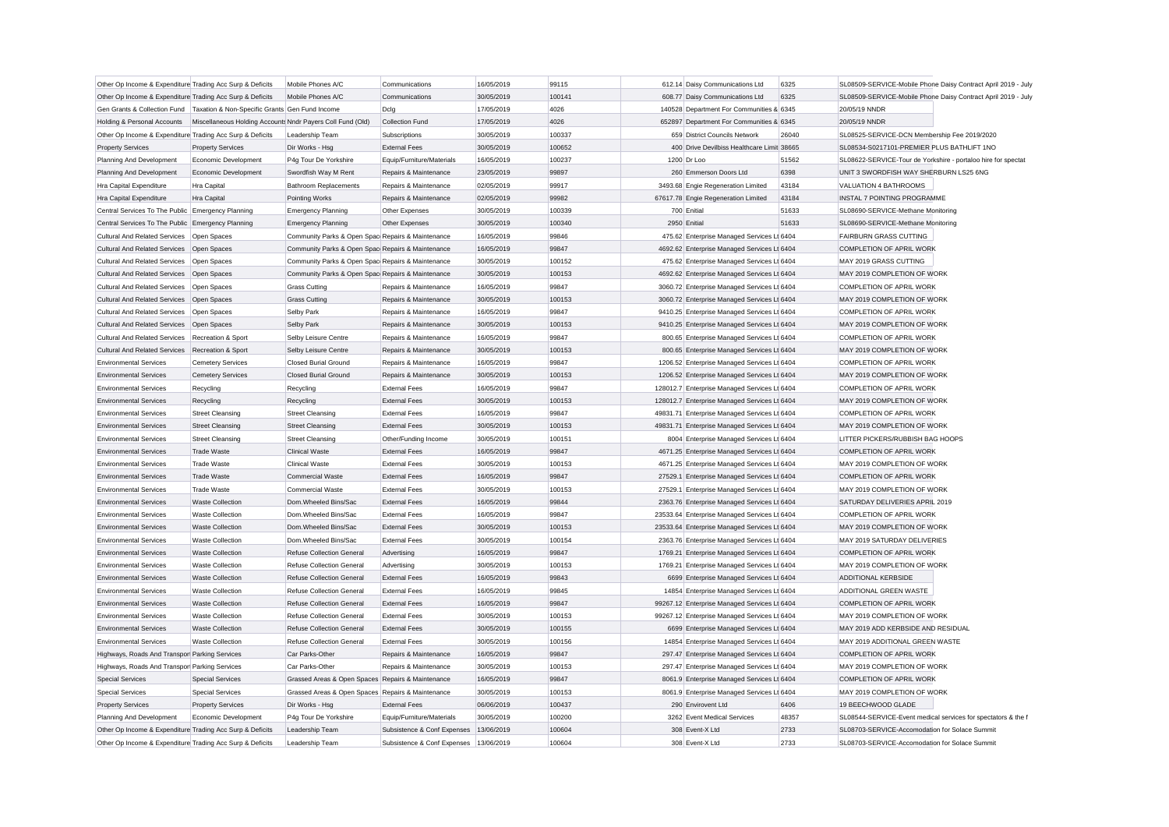| Other Op Income & Expenditure Trading Acc Surp & Deficits                     |                                                            | Mobile Phones A/C                                      | Communications                                 | 16/05/2019               | 99115           | 612.14 Daisy Communications Ltd              | 6325  |                                                               | SL08509-SERVICE-Mobile Phone Daisy Contract April 2019 - July |
|-------------------------------------------------------------------------------|------------------------------------------------------------|--------------------------------------------------------|------------------------------------------------|--------------------------|-----------------|----------------------------------------------|-------|---------------------------------------------------------------|---------------------------------------------------------------|
| Other Op Income & Expenditure Trading Acc Surp & Deficits                     |                                                            | Mobile Phones A/C                                      | Communications                                 | 30/05/2019               | 100141          | 608.77 Daisy Communications Ltd              | 6325  | SL08509-SERVICE-Mobile Phone Daisy Contract April 2019 - July |                                                               |
| Gen Grants & Collection Fund   Taxation & Non-Specific Grants Gen Fund Income |                                                            |                                                        | Dclg                                           | 17/05/2019               | 4026            | 140528 Department For Communities & 6345     |       | 20/05/19 NNDR                                                 |                                                               |
| Holding & Personal Accounts                                                   | Miscellaneous Holding Accounts Nndr Payers Coll Fund (Old) |                                                        | Collection Fund                                | 17/05/2019               | 4026            | 652897 Department For Communities & 6345     |       | 20/05/19 NNDR                                                 |                                                               |
| Other Op Income & Expenditure Trading Acc Surp & Deficits                     |                                                            | Leadership Team                                        | Subscriptions                                  | 30/05/2019               | 100337          | 659 District Councils Network                | 26040 | SL08525-SERVICE-DCN Membership Fee 2019/2020                  |                                                               |
| <b>Property Services</b>                                                      | <b>Property Services</b>                                   | Dir Works - Hsg                                        | <b>External Fees</b>                           | 30/05/2019               | 100652          | 400 Drive Devilbiss Healthcare Limit 38665   |       | SL08534-S0217101-PREMIER PLUS BATHLIFT 1NO                    |                                                               |
| Planning And Development                                                      | Economic Development                                       | P4g Tour De Yorkshire                                  | Equip/Furniture/Materials                      | 16/05/2019               | 100237          | 1200 Dr Loo                                  | 51562 | SL08622-SERVICE-Tour de Yorkshire - portaloo hire for spectat |                                                               |
| Planning And Development                                                      | Economic Development                                       | Swordfish Way M Rent                                   | Repairs & Maintenance                          | 23/05/2019               | 99897           | 260 Emmerson Doors Ltd                       | 6398  | UNIT 3 SWORDFISH WAY SHERBURN LS25 6NG                        |                                                               |
| Hra Capital Expenditure                                                       | Hra Capital                                                | <b>Bathroom Replacements</b>                           | Repairs & Maintenance                          | 02/05/2019               | 99917           | 3493.68 Engie Regeneration Limited           | 43184 | VALUATION 4 BATHROOMS                                         |                                                               |
| Hra Capital Expenditure                                                       | Hra Capital                                                | Pointing Works                                         | Repairs & Maintenance                          | 02/05/2019               | 99982           | 67617.78 Engie Regeneration Limited          | 43184 | INSTAL 7 POINTING PROGRAMME                                   |                                                               |
| Central Services To The Public Emergency Planning                             |                                                            | <b>Emergency Planning</b>                              | Other Expenses                                 | 30/05/2019               | 100339          | 700 Enitial                                  | 51633 | SL08690-SERVICE-Methane Monitoring                            |                                                               |
| Central Services To The Public Emergency Planning                             |                                                            | <b>Emergency Planning</b>                              | Other Expenses                                 | 30/05/2019               | 100340          | 2950 Enitial                                 | 51633 | SL08690-SERVICE-Methane Monitoring                            |                                                               |
| Cultural And Related Services   Open Spaces                                   |                                                            | Community Parks & Open Spac Repairs & Maintenance      |                                                | 16/05/2019               | 99846           | 475.62 Enterprise Managed Services Lt 6404   |       | <b>FAIRBURN GRASS CUTTING</b>                                 |                                                               |
| Cultural And Related Services   Open Spaces                                   |                                                            | Community Parks & Open Spac Repairs & Maintenance      |                                                | 16/05/2019               | 99847           | 4692.62 Enterprise Managed Services Lt 6404  |       | <b>COMPLETION OF APRIL WORK</b>                               |                                                               |
| <b>Cultural And Related Services</b>                                          | Open Spaces                                                | Community Parks & Open Spac Repairs & Maintenance      |                                                | 30/05/2019               | 100152          | 475.62 Enterprise Managed Services Lt 6404   |       | MAY 2019 GRASS CUTTING                                        |                                                               |
| Cultural And Related Services   Open Spaces                                   |                                                            | Community Parks & Open Spac Repairs & Maintenance      |                                                | 30/05/2019               | 100153          | 4692.62 Enterprise Managed Services Lt 6404  |       | MAY 2019 COMPLETION OF WORK                                   |                                                               |
| Cultural And Related Services   Open Spaces                                   |                                                            | <b>Grass Cutting</b>                                   | Repairs & Maintenance                          | 16/05/2019               | 99847           | 3060.72 Enterprise Managed Services Lt 6404  |       | COMPLETION OF APRIL WORK                                      |                                                               |
| <b>Cultural And Related Services</b>                                          | Open Spaces                                                | <b>Grass Cutting</b>                                   | Repairs & Maintenance                          | 30/05/2019               | 100153          | 3060.72 Enterprise Managed Services Lt 6404  |       | MAY 2019 COMPLETION OF WORK                                   |                                                               |
| Cultural And Related Services Open Spaces                                     |                                                            | Selby Park                                             | Repairs & Maintenance                          | 16/05/2019               | 99847           | 9410.25 Enterprise Managed Services Lt 6404  |       | COMPLETION OF APRIL WORK                                      |                                                               |
| <b>Cultural And Related Services</b>                                          | Open Spaces                                                | <b>Selby Park</b>                                      | Repairs & Maintenance                          | 30/05/2019               | 100153          | 9410.25 Enterprise Managed Services Lt 6404  |       | MAY 2019 COMPLETION OF WORK                                   |                                                               |
| Cultural And Related Services                                                 | Recreation & Sport                                         | Selby Leisure Centre                                   | Repairs & Maintenance                          | 16/05/2019               | 99847           | 800.65 Enterprise Managed Services Lt 6404   |       | COMPLETION OF APRIL WORK                                      |                                                               |
| <b>Cultural And Related Services</b>                                          | Recreation & Sport                                         | Selby Leisure Centre                                   | Repairs & Maintenance                          | 30/05/2019               | 100153          | 800.65 Enterprise Managed Services Lt 6404   |       | MAY 2019 COMPLETION OF WORK                                   |                                                               |
| <b>Environmental Services</b>                                                 | <b>Cemetery Services</b>                                   | <b>Closed Burial Ground</b>                            | Repairs & Maintenance                          | 16/05/2019               | 99847           | 1206.52 Enterprise Managed Services Lt 6404  |       | COMPLETION OF APRIL WORK                                      |                                                               |
| <b>Environmental Services</b>                                                 | <b>Cemetery Services</b>                                   | Closed Burial Ground                                   | Repairs & Maintenance                          | 30/05/2019               | 100153          | 1206.52 Enterprise Managed Services Lt 6404  |       | MAY 2019 COMPLETION OF WORK                                   |                                                               |
| <b>Environmental Services</b>                                                 | Recycling                                                  | Recycling                                              | <b>External Fees</b>                           | 16/05/2019               | 99847           | 128012.7 Enterprise Managed Services Lt 6404 |       | COMPLETION OF APRIL WORK                                      |                                                               |
| <b>Environmental Services</b>                                                 | Recycling                                                  | Recycling                                              | <b>External Fees</b>                           | 30/05/2019               | 100153          | 128012.7 Enterprise Managed Services Lt 6404 |       | MAY 2019 COMPLETION OF WORK                                   |                                                               |
| <b>Environmental Services</b>                                                 | <b>Street Cleansing</b>                                    | <b>Street Cleansing</b>                                | <b>External Fees</b>                           | 16/05/2019               | 99847           | 49831.71 Enterprise Managed Services Lt 6404 |       | COMPLETION OF APRIL WORK                                      |                                                               |
| <b>Environmental Services</b>                                                 | <b>Street Cleansing</b>                                    | <b>Street Cleansing</b>                                | <b>External Fees</b>                           | 30/05/2019               | 100153          | 49831.71 Enterprise Managed Services Lt 6404 |       | MAY 2019 COMPLETION OF WORK                                   |                                                               |
| <b>Environmental Services</b>                                                 | <b>Street Cleansing</b>                                    | <b>Street Cleansing</b>                                | Other/Funding Income                           | 30/05/2019               | 100151          | 8004 Enterprise Managed Services Lt 6404     |       | LITTER PICKERS/RUBBISH BAG HOOPS                              |                                                               |
| <b>Environmental Services</b>                                                 | <b>Trade Waste</b>                                         | <b>Clinical Waste</b>                                  | <b>External Fees</b>                           | 16/05/2019               | 99847           | 4671.25 Enterprise Managed Services Lt 6404  |       | <b>COMPLETION OF APRIL WORK</b>                               |                                                               |
| <b>Environmental Services</b>                                                 | <b>Trade Waste</b>                                         | Clinical Waste                                         | <b>External Fees</b>                           | 30/05/2019               | 100153          | 4671.25 Enterprise Managed Services Lt 6404  |       | MAY 2019 COMPLETION OF WORK                                   |                                                               |
| <b>Environmental Services</b>                                                 | <b>Trade Waste</b>                                         | <b>Commercial Waste</b>                                | <b>External Fees</b>                           | 16/05/2019               | 99847           | 27529.1 Enterprise Managed Services Lt 6404  |       | COMPLETION OF APRIL WORK                                      |                                                               |
| <b>Environmental Services</b>                                                 | <b>Trade Waste</b>                                         | <b>Commercial Waste</b>                                | <b>External Fees</b>                           | 30/05/2019               | 100153          | 27529.1 Enterprise Managed Services Lt 6404  |       | MAY 2019 COMPLETION OF WORK                                   |                                                               |
| <b>Environmental Services</b>                                                 | <b>Waste Collection</b>                                    | Dom.Wheeled Bins/Sac                                   | <b>External Fees</b>                           | 16/05/2019               | 99844           | 2363.76 Enterprise Managed Services Lt 6404  |       | SATURDAY DELIVERIES APRIL 2019                                |                                                               |
| <b>Environmental Services</b>                                                 | <b>Waste Collection</b>                                    | Dom.Wheeled Bins/Sac                                   | <b>External Fees</b>                           | 16/05/2019               | 99847           | 23533.64 Enterprise Managed Services Lt 6404 |       | COMPLETION OF APRIL WORK                                      |                                                               |
| <b>Environmental Services</b>                                                 | <b>Waste Collection</b>                                    | Dom.Wheeled Bins/Sac                                   | <b>External Fees</b>                           | 30/05/2019               | 100153          | 23533.64 Enterprise Managed Services Lt 6404 |       | MAY 2019 COMPLETION OF WORK                                   |                                                               |
| <b>Environmental Services</b>                                                 | <b>Waste Collection</b>                                    | Dom.Wheeled Bins/Sac                                   | <b>External Fees</b>                           | 30/05/2019               | 100154          | 2363.76 Enterprise Managed Services Lt 6404  |       | MAY 2019 SATURDAY DELIVERIES                                  |                                                               |
| <b>Environmental Services</b>                                                 | <b>Waste Collection</b>                                    |                                                        |                                                | 16/05/2019               | 99847           | 1769.21 Enterprise Managed Services Lt 6404  |       | COMPLETION OF APRIL WORK                                      |                                                               |
| <b>Environmental Services</b>                                                 | Waste Collection                                           | Refuse Collection General<br>Refuse Collection General | Advertising<br>Advertising                     | 30/05/2019               | 100153          | 1769.21 Enterprise Managed Services Lt 6404  |       | MAY 2019 COMPLETION OF WORK                                   |                                                               |
| <b>Environmental Services</b>                                                 | <b>Waste Collection</b>                                    | <b>Refuse Collection General</b>                       | <b>External Fees</b>                           | 16/05/2019               | 99843           | 6699 Enterprise Managed Services Lt 6404     |       | ADDITIONAL KERBSIDE                                           |                                                               |
| <b>Environmental Services</b>                                                 | <b>Waste Collection</b>                                    | <b>Refuse Collection General</b>                       | <b>External Fees</b>                           | 16/05/2019               | 99845           | 14854 Enterprise Managed Services Lt 6404    |       | ADDITIONAL GREEN WASTE                                        |                                                               |
| <b>Environmental Services</b>                                                 | <b>Waste Collection</b>                                    | <b>Refuse Collection General</b>                       | <b>External Fees</b>                           | 16/05/2019               | 99847           | 99267.12 Enterprise Managed Services Lt 6404 |       | <b>COMPLETION OF APRIL WORK</b>                               |                                                               |
| <b>Environmental Services</b>                                                 | <b>Waste Collection</b>                                    | <b>Refuse Collection General</b>                       | <b>External Fees</b>                           | 30/05/2019               | 100153          | 99267.12 Enterprise Managed Services Lt 6404 |       | MAY 2019 COMPLETION OF WORK                                   |                                                               |
| <b>Environmental Services</b>                                                 | <b>Waste Collection</b>                                    |                                                        | <b>External Fees</b>                           | 30/05/2019               | 100155          | 6699 Enterprise Managed Services Lt 6404     |       | MAY 2019 ADD KERBSIDE AND RESIDUAL                            |                                                               |
|                                                                               |                                                            | <b>Refuse Collection General</b>                       |                                                | 30/05/2019               | 100156          | 14854 Enterprise Managed Services Lt 6404    |       | MAY 2019 ADDITIONAL GREEN WASTE                               |                                                               |
| <b>Environmental Services</b>                                                 | <b>Waste Collection</b>                                    | <b>Refuse Collection General</b>                       | <b>External Fees</b>                           |                          |                 |                                              |       |                                                               |                                                               |
| Highways, Roads And Transpor Parking Services                                 |                                                            | Car Parks-Other<br>Car Parks-Other                     | Repairs & Maintenance<br>Repairs & Maintenance | 16/05/2019<br>30/05/2019 | 99847<br>100153 | 297.47 Enterprise Managed Services Lt 6404   |       | COMPLETION OF APRIL WORK<br>MAY 2019 COMPLETION OF WORK       |                                                               |
| Highways, Roads And Transpor Parking Services                                 |                                                            |                                                        |                                                |                          |                 | 297.47 Enterprise Managed Services Lt 6404   |       |                                                               |                                                               |
| <b>Special Services</b>                                                       | <b>Special Services</b>                                    | Grassed Areas & Open Spaces Repairs & Maintenance      |                                                | 16/05/2019               | 99847           | 8061.9 Enterprise Managed Services Lt 6404   |       | <b>COMPLETION OF APRIL WORK</b>                               |                                                               |
| <b>Special Services</b>                                                       | <b>Special Services</b>                                    | Grassed Areas & Open Spaces Repairs & Maintenance      |                                                | 30/05/2019               | 100153          | 8061.9 Enterprise Managed Services Lt 6404   |       | MAY 2019 COMPLETION OF WORK                                   |                                                               |
| <b>Property Services</b>                                                      | <b>Property Services</b>                                   | Dir Works - Hsg                                        | <b>External Fees</b>                           | 06/06/2019               | 100437          | 290 Envirovent Ltd                           | 6406  | 19 BEECHWOOD GLADE                                            |                                                               |
| Planning And Development                                                      | Economic Development                                       | P4g Tour De Yorkshire                                  | Equip/Furniture/Materials                      | 30/05/2019               | 100200          | 3262 Event Medical Services                  | 48357 | SL08544-SERVICE-Event medical services for spectators & the f |                                                               |
| Other Op Income & Expenditure Trading Acc Surp & Deficits                     |                                                            | Leadership Team                                        | Subsistence & Conf Expenses                    | 13/06/2019               | 100604          | 308 Event-X Ltd                              | 2733  | SL08703-SERVICE-Accomodation for Solace Summit                |                                                               |
| Other Op Income & Expenditure Trading Acc Surp & Deficits                     |                                                            | Leadership Team                                        | Subsistence & Conf Expenses                    | 13/06/2019               | 100604          | 308 Event-X Ltd                              | 2733  | SL08703-SERVICE-Accomodation for Solace Summit                |                                                               |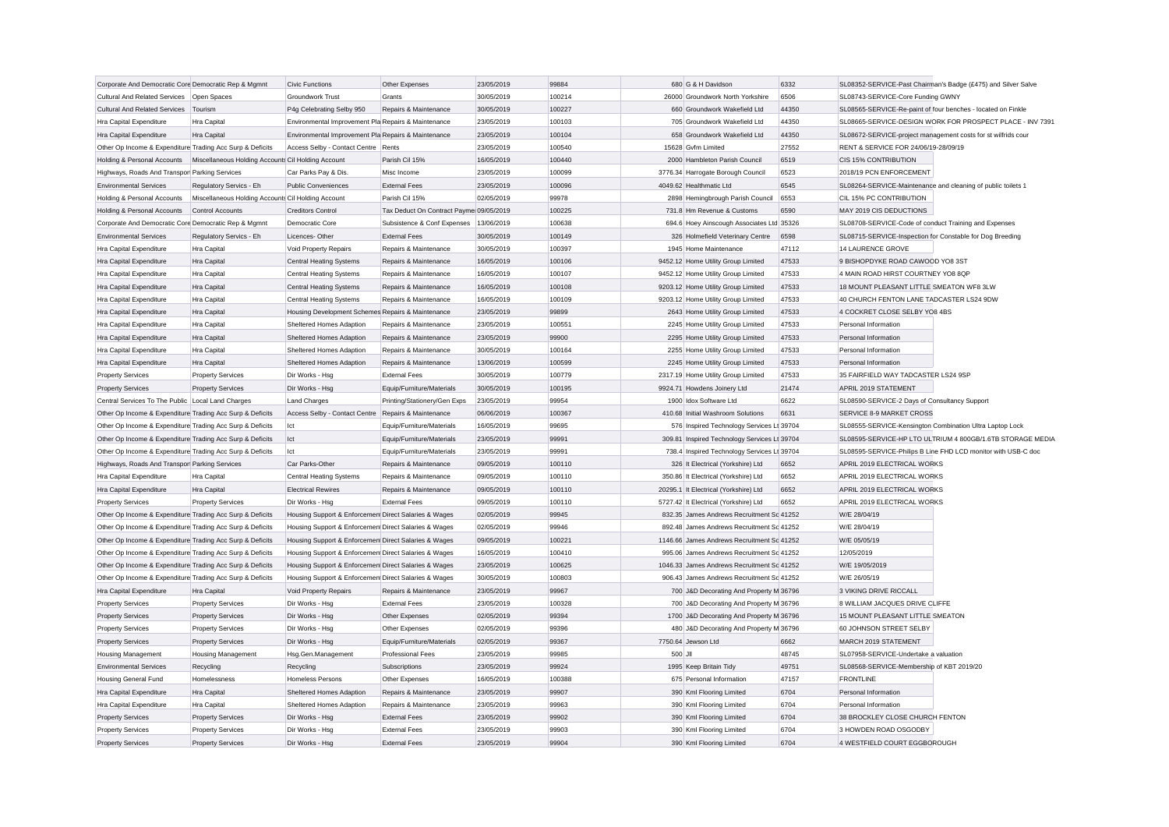| Corporate And Democratic Core Democratic Rep & Mgmnt      |                                                    | <b>Civic Functions</b>                               | Other Expenses                           | 23/05/2019 | 99884  |         | 680 G & H Davidson                           | 6332  |                                                              | SL08352-SERVICE-Past Chairman's Badge (£475) and Silver Salve |
|-----------------------------------------------------------|----------------------------------------------------|------------------------------------------------------|------------------------------------------|------------|--------|---------|----------------------------------------------|-------|--------------------------------------------------------------|---------------------------------------------------------------|
| <b>Cultural And Related Services</b>                      | Open Spaces                                        | <b>Groundwork Trust</b>                              | Grants                                   | 30/05/2019 | 100214 |         | 26000 Groundwork North Yorkshire             | 6506  | SL08743-SERVICE-Core Funding GWNY                            |                                                               |
| <b>Cultural And Related Services</b>                      | Tourism                                            | P4g Celebrating Selby 950                            | Repairs & Maintenance                    | 30/05/2019 | 100227 |         | 660 Groundwork Wakefield Ltd                 | 44350 | SL08565-SERVICE-Re-paint of four benches - located on Finkle |                                                               |
| Hra Capital Expenditure                                   | Hra Capital                                        | Environmental Improvement Pla Repairs & Maintenance  |                                          | 23/05/2019 | 100103 |         | 705 Groundwork Wakefield Ltd                 | 44350 |                                                              | SL08665-SERVICE-DESIGN WORK FOR PROSPECT PLACE - INV 7391     |
| Hra Capital Expenditure                                   | Hra Capital                                        | Environmental Improvement Pla Repairs & Maintenance  |                                          | 23/05/2019 | 100104 |         | 658 Groundwork Wakefield Ltd                 | 44350 |                                                              | SL08672-SERVICE-project management costs for st wilfrids cour |
| Other Op Income & Expenditure Trading Acc Surp & Deficits |                                                    | Access Selby - Contact Centre Rents                  |                                          | 23/05/2019 | 100540 |         | 15628 Gvfm Limited                           | 27552 | RENT & SERVICE FOR 24/06/19-28/09/19                         |                                                               |
| Holding & Personal Accounts                               | Miscellaneous Holding Accounts Cil Holding Account |                                                      | Parish Cil 15%                           | 16/05/2019 | 100440 |         | 2000 Hambleton Parish Council                | 6519  | CIS 15% CONTRIBUTION                                         |                                                               |
| Highways, Roads And Transpor Parking Services             |                                                    | Car Parks Pay & Dis.                                 | Misc Income                              | 23/05/2019 | 100099 |         | 3776.34 Harrogate Borough Council            | 6523  | 2018/19 PCN ENFORCEMENT                                      |                                                               |
| <b>Environmental Services</b>                             | Regulatory Servics - Eh                            | <b>Public Conveniences</b>                           | <b>External Fees</b>                     | 23/05/2019 | 100096 |         | 4049.62 Healthmatic Ltd                      | 6545  | SL08264-SERVICE-Maintenance and cleaning of public toilets 1 |                                                               |
| Holding & Personal Accounts                               | Miscellaneous Holding Accounts Cil Holding Account |                                                      | Parish Cil 15%                           | 02/05/2019 | 99978  |         | 2898 Hemingbrough Parish Council             | 6553  | CIL 15% PC CONTRIBUTION                                      |                                                               |
| Holding & Personal Accounts                               | Control Accounts                                   | <b>Creditors Control</b>                             | Tax Deduct On Contract Payme 09/05/2019  |            | 100225 |         | 731.8 Hm Revenue & Customs                   | 6590  | MAY 2019 CIS DEDUCTIONS                                      |                                                               |
| Corporate And Democratic Core Democratic Rep & Mgmnt      |                                                    | Democratic Core                                      | Subsistence & Conf Expenses   13/06/2019 |            | 100638 |         | 694.6 Hoey Ainscough Associates Ltd 35326    |       | SL08708-SERVICE-Code of conduct Training and Expenses        |                                                               |
| <b>Environmental Services</b>                             | Regulatory Servics - Eh                            | Licences-Other                                       | <b>External Fees</b>                     | 30/05/2019 | 100149 |         | 326 Holmefield Veterinary Centre             | 6598  | SL08715-SERVICE-Inspection for Constable for Dog Breeding    |                                                               |
| Hra Capital Expenditure                                   | <b>Hra Capital</b>                                 | Void Property Repairs                                | Repairs & Maintenance                    | 30/05/2019 | 100397 |         | 1945 Home Maintenance                        | 47112 | 14 LAURENCE GROVE                                            |                                                               |
| Hra Capital Expenditure                                   | Hra Capital                                        | <b>Central Heating Systems</b>                       | Repairs & Maintenance                    | 16/05/2019 | 100106 |         | 9452.12 Home Utility Group Limited           | 47533 | 9 BISHOPDYKE ROAD CAWOOD YO8 3ST                             |                                                               |
| Hra Capital Expenditure                                   | <b>Hra Capital</b>                                 | <b>Central Heating Systems</b>                       | Repairs & Maintenance                    | 16/05/2019 | 100107 |         | 9452.12 Home Utility Group Limited           | 47533 | 4 MAIN ROAD HIRST COURTNEY YO8 8QP                           |                                                               |
| Hra Capital Expenditure                                   | Hra Capital                                        | <b>Central Heating Systems</b>                       | Repairs & Maintenance                    | 16/05/2019 | 100108 |         | 9203.12 Home Utility Group Limited           | 47533 | 18 MOUNT PLEASANT LITTLE SMEATON WF8 3LW                     |                                                               |
| Hra Capital Expenditure                                   | Hra Capital                                        | <b>Central Heating Systems</b>                       | Repairs & Maintenance                    | 16/05/2019 | 100109 |         | 9203.12 Home Utility Group Limited           | 47533 | 40 CHURCH FENTON LANE TADCASTER LS24 9DW                     |                                                               |
| Hra Capital Expenditure                                   | Hra Capital                                        | Housing Development Schemes Repairs & Maintenance    |                                          | 23/05/2019 | 99899  |         | 2643 Home Utility Group Limited              | 47533 | 4 COCKRET CLOSE SELBY YO8 4BS                                |                                                               |
| Hra Capital Expenditure                                   | Hra Capital                                        | Sheltered Homes Adaption                             | Repairs & Maintenance                    | 23/05/2019 | 100551 |         | 2245 Home Utility Group Limited              | 47533 | Personal Information                                         |                                                               |
| Hra Capital Expenditure                                   | Hra Capital                                        | Sheltered Homes Adaption                             | Repairs & Maintenance                    | 23/05/2019 | 99900  |         | 2295 Home Utility Group Limited              | 47533 | Personal Information                                         |                                                               |
| Hra Capital Expenditure                                   | Hra Capital                                        | Sheltered Homes Adaption                             | Repairs & Maintenance                    | 30/05/2019 | 100164 |         | 2255 Home Utility Group Limited              | 47533 | Personal Information                                         |                                                               |
| Hra Capital Expenditure                                   | Hra Capital                                        | Sheltered Homes Adaption                             | Repairs & Maintenance                    | 13/06/2019 | 100599 |         | 2245 Home Utility Group Limited              | 47533 | Personal Information                                         |                                                               |
| <b>Property Services</b>                                  | <b>Property Services</b>                           | Dir Works - Hsg                                      | <b>External Fees</b>                     | 30/05/2019 | 100779 |         | 2317.19 Home Utility Group Limited           | 47533 | 35 FAIRFIELD WAY TADCASTER LS24 9SP                          |                                                               |
| <b>Property Services</b>                                  | <b>Property Services</b>                           | Dir Works - Hsg                                      | Equip/Furniture/Materials                | 30/05/2019 | 100195 |         | 9924.71 Howdens Joinery Ltd                  | 21474 | APRIL 2019 STATEMENT                                         |                                                               |
| Central Services To The Public Local Land Charges         |                                                    | <b>Land Charges</b>                                  | Printing/Stationery/Gen Exps             | 23/05/2019 | 99954  |         | 1900 Idox Software Ltd                       | 6622  | SL08590-SERVICE-2 Days of Consultancy Support                |                                                               |
| Other Op Income & Expenditure Trading Acc Surp & Deficits |                                                    | Access Selby - Contact Centre Repairs & Maintenance  |                                          | 06/06/2019 | 100367 |         | 410.68 Initial Washroom Solutions            | 6631  | SERVICE 8-9 MARKET CROSS                                     |                                                               |
| Other Op Income & Expenditure Trading Acc Surp & Deficits |                                                    | lct                                                  | Equip/Furniture/Materials                | 16/05/2019 | 99695  |         | 576 Inspired Technology Services Lt 39704    |       | SL08555-SERVICE-Kensington Combination Ultra Laptop Lock     |                                                               |
| Other Op Income & Expenditure Trading Acc Surp & Deficits |                                                    | Ict                                                  | Equip/Furniture/Materials                | 23/05/2019 | 99991  |         | 309.81 Inspired Technology Services Lt 39704 |       |                                                              | SL08595-SERVICE-HP LTO ULTRIUM 4 800GB/1.6TB STORAGE MEDIA    |
| Other Op Income & Expenditure Trading Acc Surp & Deficits |                                                    | lict                                                 | Equip/Furniture/Materials                | 23/05/2019 | 99991  |         | 738.4 Inspired Technology Services Lt 39704  |       |                                                              | SL08595-SERVICE-Philips B Line FHD LCD monitor with USB-C doc |
| Highways, Roads And Transpor Parking Services             |                                                    | Car Parks-Other                                      | Repairs & Maintenance                    | 09/05/2019 | 100110 |         | 326 It Electrical (Yorkshire) Ltd            | 6652  | APRIL 2019 ELECTRICAL WORKS                                  |                                                               |
| Hra Capital Expenditure                                   | Hra Capital                                        | <b>Central Heating Systems</b>                       | Repairs & Maintenance                    | 09/05/2019 | 100110 |         | 350.86 It Electrical (Yorkshire) Ltd         | 6652  | APRIL 2019 ELECTRICAL WORKS                                  |                                                               |
| Hra Capital Expenditure                                   | Hra Capital                                        | <b>Electrical Rewires</b>                            | Repairs & Maintenance                    | 09/05/2019 | 100110 |         | 20295.1 It Electrical (Yorkshire) Ltd        | 6652  | APRIL 2019 ELECTRICAL WORKS                                  |                                                               |
| <b>Property Services</b>                                  | <b>Property Services</b>                           | Dir Works - Hsg                                      | <b>External Fees</b>                     | 09/05/2019 | 100110 |         | 5727.42 It Electrical (Yorkshire) Ltd        | 6652  | APRIL 2019 ELECTRICAL WORKS                                  |                                                               |
| Other Op Income & Expenditure Trading Acc Surp & Deficits |                                                    | Housing Support & Enforcemen Direct Salaries & Wages |                                          | 02/05/2019 | 99945  |         | 832.35 James Andrews Recruitment Sc 41252    |       | W/E 28/04/19                                                 |                                                               |
| Other Op Income & Expenditure Trading Acc Surp & Deficits |                                                    | Housing Support & Enforcemen Direct Salaries & Wages |                                          | 02/05/2019 | 99946  |         | 892.48 James Andrews Recruitment Sc 41252    |       | W/E 28/04/19                                                 |                                                               |
| Other Op Income & Expenditure Trading Acc Surp & Deficits |                                                    | Housing Support & Enforcemen Direct Salaries & Wages |                                          | 09/05/2019 | 100221 |         | 1146.66 James Andrews Recruitment Sc 41252   |       | W/E 05/05/19                                                 |                                                               |
| Other Op Income & Expenditure Trading Acc Surp & Deficits |                                                    | Housing Support & Enforcemen Direct Salaries & Wages |                                          | 16/05/2019 | 100410 |         | 995.06 James Andrews Recruitment Sc 41252    |       | 12/05/2019                                                   |                                                               |
| Other Op Income & Expenditure Trading Acc Surp & Deficits |                                                    | Housing Support & Enforcemen Direct Salaries & Wages |                                          | 23/05/2019 | 100625 |         | 1046.33 James Andrews Recruitment Sc 41252   |       | W/E 19/05/2019                                               |                                                               |
| Other Op Income & Expenditure Trading Acc Surp & Deficits |                                                    | Housing Support & Enforcemen Direct Salaries & Wages |                                          | 30/05/2019 | 100803 |         | 906.43 James Andrews Recruitment Sc 41252    |       | W/E 26/05/19                                                 |                                                               |
| Hra Capital Expenditure                                   | Hra Capital                                        | <b>Void Property Repairs</b>                         | Repairs & Maintenance                    | 23/05/2019 | 99967  |         | 700 J&D Decorating And Property M 36796      |       | 3 VIKING DRIVE RICCALL                                       |                                                               |
| <b>Property Services</b>                                  | <b>Property Services</b>                           | Dir Works - Hsg                                      | <b>External Fees</b>                     | 23/05/2019 | 100328 |         | 700 J&D Decorating And Property M 36796      |       | 8 WILLIAM JACQUES DRIVE CLIFFE                               |                                                               |
| <b>Property Services</b>                                  | <b>Property Services</b>                           | Dir Works - Hsg                                      | Other Expenses                           | 02/05/2019 | 99394  |         | 1700 J&D Decorating And Property M 36796     |       | 15 MOUNT PLEASANT LITTLE SMEATON                             |                                                               |
| <b>Property Services</b>                                  | <b>Property Services</b>                           | Dir Works - Hsa                                      | Other Expenses                           | 02/05/2019 | 99396  |         | 480 J&D Decorating And Property M 36796      |       | 60 JOHNSON STREET SELBY                                      |                                                               |
| <b>Property Services</b>                                  | <b>Property Services</b>                           | Dir Works - Hsg                                      | Equip/Furniture/Materials                | 02/05/2019 | 99367  |         | 7750.64 Jewson Ltd                           | 6662  | MARCH 2019 STATEMENT                                         |                                                               |
| Housing Management                                        | <b>Housing Management</b>                          | Hsg.Gen.Management                                   | <b>Professional Fees</b>                 | 23/05/2019 | 99985  | 500 JII |                                              | 48745 | SL07958-SERVICE-Undertake a valuation                        |                                                               |
| <b>Environmental Services</b>                             | Recycling                                          | Recycling                                            | Subscriptions                            | 23/05/2019 | 99924  |         | 1995 Keep Britain Tidy                       | 49751 | SL08568-SERVICE-Membership of KBT 2019/20                    |                                                               |
| <b>Housing General Fund</b>                               | Homelessness                                       | <b>Homeless Persons</b>                              | Other Expenses                           | 16/05/2019 | 100388 |         | 675 Personal Information                     | 47157 | <b>FRONTLINE</b>                                             |                                                               |
| Hra Capital Expenditure                                   | Hra Capital                                        | Sheltered Homes Adaption                             | Repairs & Maintenance                    | 23/05/2019 | 99907  |         | 390 Kml Flooring Limited                     | 6704  | Personal Information                                         |                                                               |
| Hra Capital Expenditure                                   | Hra Capital                                        | Sheltered Homes Adaption                             | Repairs & Maintenance                    | 23/05/2019 | 99963  |         | 390 Kml Flooring Limited                     | 6704  | Personal Information                                         |                                                               |
| <b>Property Services</b>                                  | <b>Property Services</b>                           | Dir Works - Hsg                                      | <b>External Fees</b>                     | 23/05/2019 | 99902  |         | 390 Kml Flooring Limited                     | 6704  | 38 BROCKLEY CLOSE CHURCH FENTON                              |                                                               |
| <b>Property Services</b>                                  | <b>Property Services</b>                           | Dir Works - Hsg                                      | <b>External Fees</b>                     | 23/05/2019 | 99903  |         | 390 Kml Flooring Limited                     | 6704  | 3 HOWDEN ROAD OSGODBY                                        |                                                               |
| <b>Property Services</b>                                  | <b>Property Services</b>                           | Dir Works - Hsg                                      | <b>External Fees</b>                     | 23/05/2019 | 99904  |         | 390 Kml Flooring Limited                     | 6704  | 4 WESTFIELD COURT EGGBOROUGH                                 |                                                               |
|                                                           |                                                    |                                                      |                                          |            |        |         |                                              |       |                                                              |                                                               |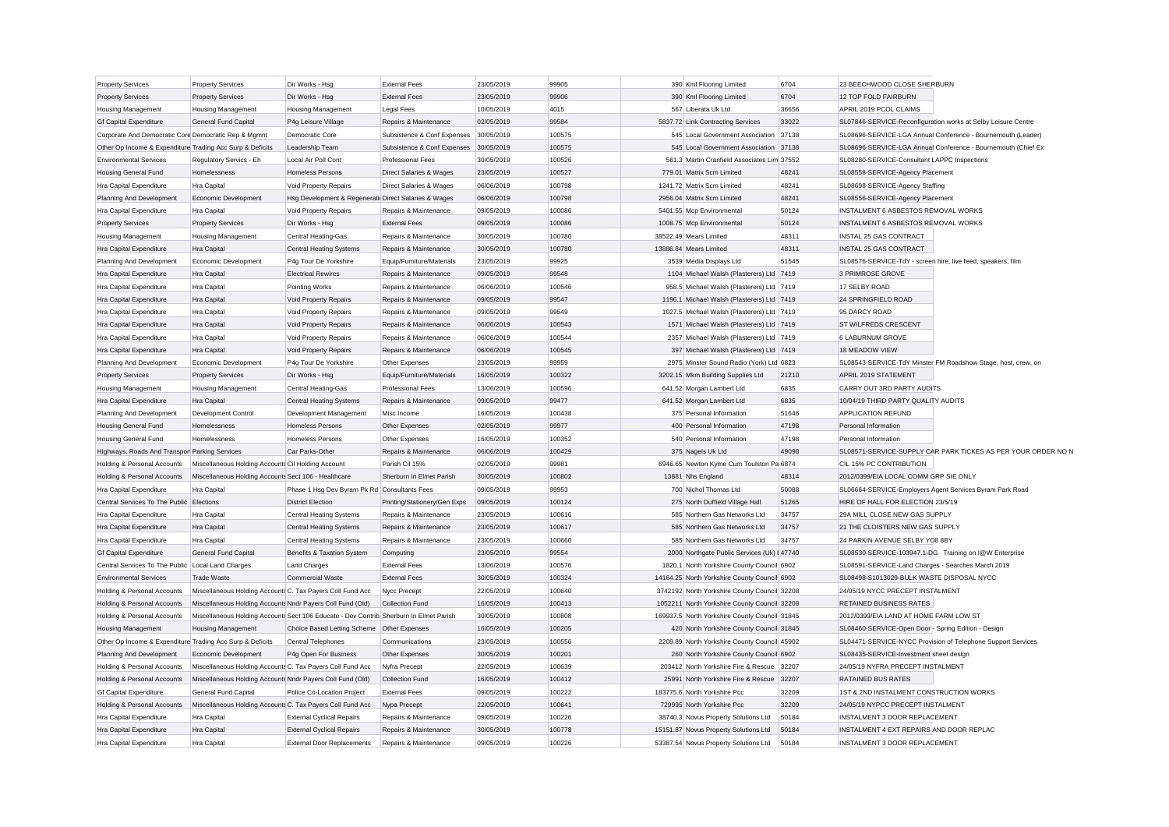| <b>Property Services</b>                                  | <b>Property Services</b>                                   | Dir Works - Hsg                                                                        | <b>External Fees</b>         | 23/05/2019 | 99905  | 390 Kml Flooring Limited                      | 6704  | 23 BEECHWOOD CLOSE SHERBURN                                  |                                                               |
|-----------------------------------------------------------|------------------------------------------------------------|----------------------------------------------------------------------------------------|------------------------------|------------|--------|-----------------------------------------------|-------|--------------------------------------------------------------|---------------------------------------------------------------|
| <b>Property Services</b>                                  | <b>Property Services</b>                                   | Dir Works - Hsg                                                                        | <b>External Fees</b>         | 23/05/2019 | 99906  | 390 Kml Flooring Limited                      | 6704  | 12 TOP FOLD FAIRBURN                                         |                                                               |
| <b>Housing Management</b>                                 | <b>Housing Management</b>                                  | <b>Housing Management</b>                                                              | <b>Legal Fees</b>            | 10/05/2019 | 4015   | 567 Liberata Uk Ltd                           | 36656 | APRIL 2019 PCOL CLAIMS                                       |                                                               |
| <b>Gf Capital Expenditure</b>                             | <b>General Fund Capital</b>                                | P4g Leisure Village                                                                    | Repairs & Maintenance        | 02/05/2019 | 99584  | 5837.72 Link Contracting Services             | 33022 |                                                              | SL07846-SERVICE-Reconfiguration works at Selby Leisure Centre |
| Corporate And Democratic Core Democratic Rep & Mgmnt      |                                                            | Democratic Core                                                                        | Subsistence & Conf Expenses  | 30/05/2019 | 100575 | 545 Local Government Association              | 37138 |                                                              | SL08696-SERVICE-LGA Annual Conference - Bournemouth (Leader)  |
| Other Op Income & Expenditure Trading Acc Surp & Deficits |                                                            | Leadership Team                                                                        | Subsistence & Conf Expenses  | 30/05/2019 | 100575 | 545 Local Government Association              | 37138 |                                                              | SL08696-SERVICE-LGA Annual Conference - Bournemouth (Chief Ex |
| <b>Environmental Services</b>                             | Regulatory Servics - Eh                                    | Local Air Poll Cont                                                                    | <b>Professional Fees</b>     | 30/05/2019 | 100526 | 561.3 Martin Cranfield Associates Lim 37552   |       | SL08280-SERVICE-Consultant LAPPC Inspections                 |                                                               |
| <b>Housing General Fund</b>                               | Homelessness                                               | <b>Homeless Persons</b>                                                                | Direct Salaries & Wages      | 23/05/2019 | 100527 | 779.01 Matrix Scm Limited                     | 48241 | SL08558-SERVICE-Agency Placement                             |                                                               |
| Hra Capital Expenditure                                   | Hra Capital                                                | Void Property Repairs                                                                  | Direct Salaries & Wages      | 06/06/2019 | 100798 | 1241.72 Matrix Scm Limited                    | 48241 | SL08698-SERVICE-Agency Staffing                              |                                                               |
| Planning And Development                                  | Economic Development                                       | Hsg Development & Regenerati Direct Salaries & Wages                                   |                              | 06/06/2019 | 100798 | 2956.04 Matrix Scm Limited                    | 48241 | SL08556-SERVICE-Agency Placement                             |                                                               |
| Hra Capital Expenditure                                   | Hra Capital                                                | Void Property Repairs                                                                  | Repairs & Maintenance        | 09/05/2019 | 100086 | 5401.55 Mcp Environmental                     | 50124 | INSTALMENT 6 ASBESTOS REMOVAL WORKS                          |                                                               |
| <b>Property Services</b>                                  | <b>Property Services</b>                                   | Dir Works - Hsg                                                                        | <b>External Fees</b>         | 09/05/2019 | 100086 | 1008.75 Mcp Environmental                     | 50124 | INSTALMENT 6 ASBESTOS REMOVAL WORKS                          |                                                               |
| <b>Housing Management</b>                                 | <b>Housing Management</b>                                  | Central Heating-Gas                                                                    | Repairs & Maintenance        | 30/05/2019 | 100780 | 38522.49 Mears Limited                        | 48311 | INSTAL 25 GAS CONTRACT                                       |                                                               |
| Hra Capital Expenditure                                   | Hra Capital                                                | <b>Central Heating Systems</b>                                                         | Repairs & Maintenance        | 30/05/2019 | 100780 | 13886.84 Mears Limited                        | 48311 | INSTAL 25 GAS CONTRACT                                       |                                                               |
| Planning And Development                                  | Economic Development                                       | P4g Tour De Yorkshire                                                                  | Equip/Furniture/Materials    | 23/05/2019 | 99925  | 3539 Media Displays Ltd                       | 51545 | SL08576-SERVICE-TdY - screen hire, live feed, speakers, film |                                                               |
| Hra Capital Expenditure                                   | Hra Capital                                                | <b>Electrical Rewires</b>                                                              | Repairs & Maintenance        | 09/05/2019 | 99548  | 1104 Michael Walsh (Plasterers) Ltd 7419      |       | 3 PRIMROSE GROVE                                             |                                                               |
| Hra Capital Expenditure                                   | Hra Capital                                                | Pointing Works                                                                         | Repairs & Maintenance        | 06/06/2019 | 100546 | 958.5 Michael Walsh (Plasterers) Ltd 7419     |       | 17 SELBY ROAD                                                |                                                               |
| Hra Capital Expenditure                                   | Hra Capital                                                | Void Property Repairs                                                                  | Repairs & Maintenance        | 09/05/2019 | 99547  | 1196.1 Michael Walsh (Plasterers) Ltd         | 7419  | 24 SPRINGFIELD ROAD                                          |                                                               |
| Hra Capital Expenditure                                   | Hra Capital                                                | Void Property Repairs                                                                  | Repairs & Maintenance        | 09/05/2019 | 99549  | 1027.5 Michael Walsh (Plasterers) Ltd 7419    |       | 95 DARCY ROAD                                                |                                                               |
| Hra Capital Expenditure                                   | Hra Capital                                                | Void Property Repairs                                                                  | Repairs & Maintenance        | 06/06/2019 | 100543 | 1571 Michael Walsh (Plasterers) Ltd 7419      |       | <b>ST WILFREDS CRESCENT</b>                                  |                                                               |
| Hra Capital Expenditure                                   | Hra Capital                                                | Void Property Repairs                                                                  | Repairs & Maintenance        | 06/06/2019 | 100544 | 2357 Michael Walsh (Plasterers) Ltd 7419      |       | 6 LABURNUM GROVE                                             |                                                               |
| Hra Capital Expenditure                                   | Hra Capital                                                | Void Property Repairs                                                                  | Repairs & Maintenance        | 06/06/2019 | 100545 | 397 Michael Walsh (Plasterers) Ltd 7419       |       | 18 MEADOW VIEW                                               |                                                               |
| Planning And Development                                  | Economic Development                                       | P4g Tour De Yorkshire                                                                  | Other Expenses               | 23/05/2019 | 99959  | 2975 Minster Sound Radio (York) Ltd 6823      |       |                                                              | SL08543-SERVICE-TdY Minster FM Roadshow Stage, host, crew, on |
| <b>Property Services</b>                                  | <b>Property Services</b>                                   | Dir Works - Hsg                                                                        | Equip/Furniture/Materials    | 16/05/2019 | 100322 | 3202.15 Mkm Building Supplies Ltd             | 21210 | APRIL 2019 STATEMENT                                         |                                                               |
| Housing Management                                        | <b>Housing Management</b>                                  | Central Heating-Gas                                                                    | <b>Professional Fees</b>     | 13/06/2019 | 100596 | 641.52 Morgan Lambert Ltd                     | 6835  | CARRY OUT 3RD PARTY AUDITS                                   |                                                               |
| Hra Capital Expenditure                                   | Hra Capital                                                | <b>Central Heating Systems</b>                                                         | Repairs & Maintenance        | 09/05/2019 | 99477  | 641.52 Morgan Lambert Ltd                     | 6835  | 10/04/19 THIRD PARTY QUALITY AUDITS                          |                                                               |
| Planning And Development                                  | Development Control                                        | Development Management                                                                 | Misc Income                  | 16/05/2019 | 100438 | 375 Personal Information                      | 51646 | <b>APPLICATION REFUND</b>                                    |                                                               |
| <b>Housing General Fund</b>                               | Homelessness                                               | <b>Homeless Persons</b>                                                                | Other Expenses               | 02/05/2019 | 99977  | 400 Personal Information                      | 47198 | Personal Information                                         |                                                               |
| <b>Housing General Fund</b>                               | Homelessness                                               | <b>Homeless Persons</b>                                                                | Other Expenses               | 16/05/2019 | 100352 | 540 Personal Information                      | 47198 | Personal Information                                         |                                                               |
| Highways, Roads And Transpor Parking Services             |                                                            | Car Parks-Other                                                                        | Repairs & Maintenance        | 06/06/2019 | 100429 | 375 Nagels Uk Ltd                             | 49098 |                                                              | SL08571-SERVICE-SUPPLY CAR PARK TICKES AS PER YOUR ORDER NO N |
| Holding & Personal Accounts                               | Miscellaneous Holding Accounts Cil Holding Account         |                                                                                        | Parish Cil 15%               | 02/05/2019 | 99981  | 6946.65 Newton Kyme Cum Toulston Pa 6874      |       | CIL 15% PC CONTRIBUTION                                      |                                                               |
| Holding & Personal Accounts                               | Miscellaneous Holding Accounts Sect 106 - Healthcare       |                                                                                        | Sherburn In Elmet Parish     | 30/05/2019 | 100802 | 13881 Nhs England                             | 48314 | 2012/0399/EIA LOCAL COMM GRP SIE ONLY                        |                                                               |
| Hra Capital Expenditure                                   | Hra Capital                                                | Phase 1 Hsg Dev Byram Pk Rd Consultants Fees                                           |                              | 09/05/2019 | 99953  | 700 Nichol Thomas Ltd                         | 50088 | SL06664-SERVICE-Employers Agent Services Byram Park Road     |                                                               |
| Central Services To The Public                            | Elections                                                  | <b>District Election</b>                                                               | Printing/Stationery/Gen Exps | 09/05/2019 | 100124 | 275 North Duffield Village Hall               | 51265 | HIRE OF HALL FOR ELECTION 23/5/19                            |                                                               |
| Hra Capital Expenditure                                   | Hra Capital                                                | <b>Central Heating Systems</b>                                                         | Repairs & Maintenance        | 23/05/2019 | 100616 | 585 Northern Gas Networks Ltd                 | 34757 | 29A MILL CLOSE NEW GAS SUPPLY                                |                                                               |
| Hra Capital Expenditure                                   | Hra Capital                                                | <b>Central Heating Systems</b>                                                         | Repairs & Maintenance        | 23/05/2019 | 100617 | 585 Northern Gas Networks Ltd                 | 34757 | 21 THE CLOISTERS NEW GAS SUPPLY                              |                                                               |
| Hra Capital Expenditure                                   | Hra Capital                                                | <b>Central Heating Systems</b>                                                         | Repairs & Maintenance        | 23/05/2019 | 100660 | 585 Northern Gas Networks Ltd                 | 34757 | 24 PARKIN AVENUE SELBY YO8 8BY                               |                                                               |
| <b>Gf Capital Expenditure</b>                             | General Fund Capital                                       | Benefits & Taxation System                                                             | Computing                    | 23/05/2019 | 99554  | 2000 Northgate Public Services (Uk) I 47740   |       | SL08530-SERVICE-103947.1-DG Training on I@W Enterprise       |                                                               |
| Central Services To The Public                            | Local Land Charges                                         | <b>Land Charges</b>                                                                    | <b>External Fees</b>         | 13/06/2019 | 100576 | 1820.1 North Yorkshire County Council 6902    |       | SL08591-SERVICE-Land Charges - Searches March 2019           |                                                               |
| <b>Environmental Services</b>                             | <b>Trade Waste</b>                                         | Commercial Waste                                                                       | <b>External Fees</b>         | 30/05/2019 | 100324 | 14164.25 North Yorkshire County Council 6902  |       | SL08498-S1013029-BULK WASTE DISPOSAL NYCC                    |                                                               |
| Holding & Personal Accounts                               | Miscellaneous Holding Accounts C. Tax Payers Coll Fund Acc |                                                                                        | Nycc Precept                 | 22/05/2019 | 100640 | 3742192 North Yorkshire County Council 32208  |       | 24/05/19 NYCC PRECEPT INSTALMENT                             |                                                               |
| Holding & Personal Accounts                               | Miscellaneous Holding Accounts Nndr Payers Coll Fund (Old) |                                                                                        | Collection Fund              | 16/05/2019 | 100413 | 1052211 North Yorkshire County Council 32208  |       | <b>RETAINED BUSINESS RATES</b>                               |                                                               |
| Holding & Personal Accounts                               |                                                            | Miscellaneous Holding Accounts Sect 106 Educate - Dev Contrib Sherburn In Elmet Parish |                              | 30/05/2019 | 100808 | 169937.5 North Yorkshire County Council 31845 |       | 2012/0399/EIA LAND AT HOME FARM LOW ST                       |                                                               |
| <b>Housing Management</b>                                 | <b>Housing Management</b>                                  | Choice Based Letting Scheme Other Expenses                                             |                              | 16/05/2019 | 100205 | 420 North Yorkshire County Council 31845      |       | SL08460-SERVICE-Open Door - Spring Edition - Design          |                                                               |
| Other Op Income & Expenditure Trading Acc Surp & Deficits |                                                            | <b>Central Telephones</b>                                                              | Communications               | 23/05/2019 | 100556 | 2209.89 North Yorkshire County Council 45902  |       |                                                              | SL04471-SERVICE-NYCC Provision of Telephone Support Services  |
| Planning And Development                                  | Economic Development                                       | P4g Open For Business                                                                  | Other Expenses               | 30/05/2019 | 100201 | 260 North Yorkshire County Council 6902       |       | SL08435-SERVICE-Investment sheet design                      |                                                               |
| Holding & Personal Accounts                               | Miscellaneous Holding Accounts C. Tax Payers Coll Fund Acc |                                                                                        | Nyfra Precept                | 22/05/2019 | 100639 | 203412 North Yorkshire Fire & Rescue          | 32207 | 24/05/19 NYFRA PRECEPT INSTALMENT                            |                                                               |
| Holding & Personal Accounts                               | Miscellaneous Holding Accounts Nndr Payers Coll Fund (Old) |                                                                                        | Collection Fund              | 16/05/2019 | 100412 | 25991 North Yorkshire Fire & Rescue           | 32207 | <b>RATAINED BUS RATES</b>                                    |                                                               |
| <b>Gf Capital Expenditure</b>                             | <b>General Fund Capital</b>                                | Police Co-Location Project                                                             | <b>External Fees</b>         | 09/05/2019 | 100222 | 183775.6 North Yorkshire Pcc                  | 32209 | 1ST & 2ND INSTALMENT CONSTRUCTION WORKS                      |                                                               |
| Holding & Personal Accounts                               | Miscellaneous Holding Accounts C. Tax Payers Coll Fund Acc |                                                                                        | Nypa Precept                 | 22/05/2019 | 100641 | 729995 North Yorkshire Pcc                    | 32209 | 24/05/19 NYPCC PRECEPT INSTALMENT                            |                                                               |
| Hra Capital Expenditure                                   | Hra Capital                                                | <b>External Cyclical Repairs</b>                                                       | Repairs & Maintenance        | 09/05/2019 | 100226 | 38740.3 Novus Property Solutions Ltd          | 50184 | INSTALMENT 3 DOOR REPLACEMENT                                |                                                               |
| Hra Capital Expenditure                                   | Hra Capital                                                | <b>External Cyclical Repairs</b>                                                       | Repairs & Maintenance        | 30/05/2019 | 100778 | 15151.87 Novus Property Solutions Ltd         | 50184 | INSTALMENT 4 EXT REPAIRS AND DOOR REPLAC                     |                                                               |
| Hra Capital Expenditure                                   | Hra Capital                                                | <b>External Door Replacements</b>                                                      | Repairs & Maintenance        | 09/05/2019 | 100226 | 53387.54 Novus Property Solutions Ltd         | 50184 | INSTALMENT 3 DOOR REPLACEMENT                                |                                                               |
|                                                           |                                                            |                                                                                        |                              |            |        |                                               |       |                                                              |                                                               |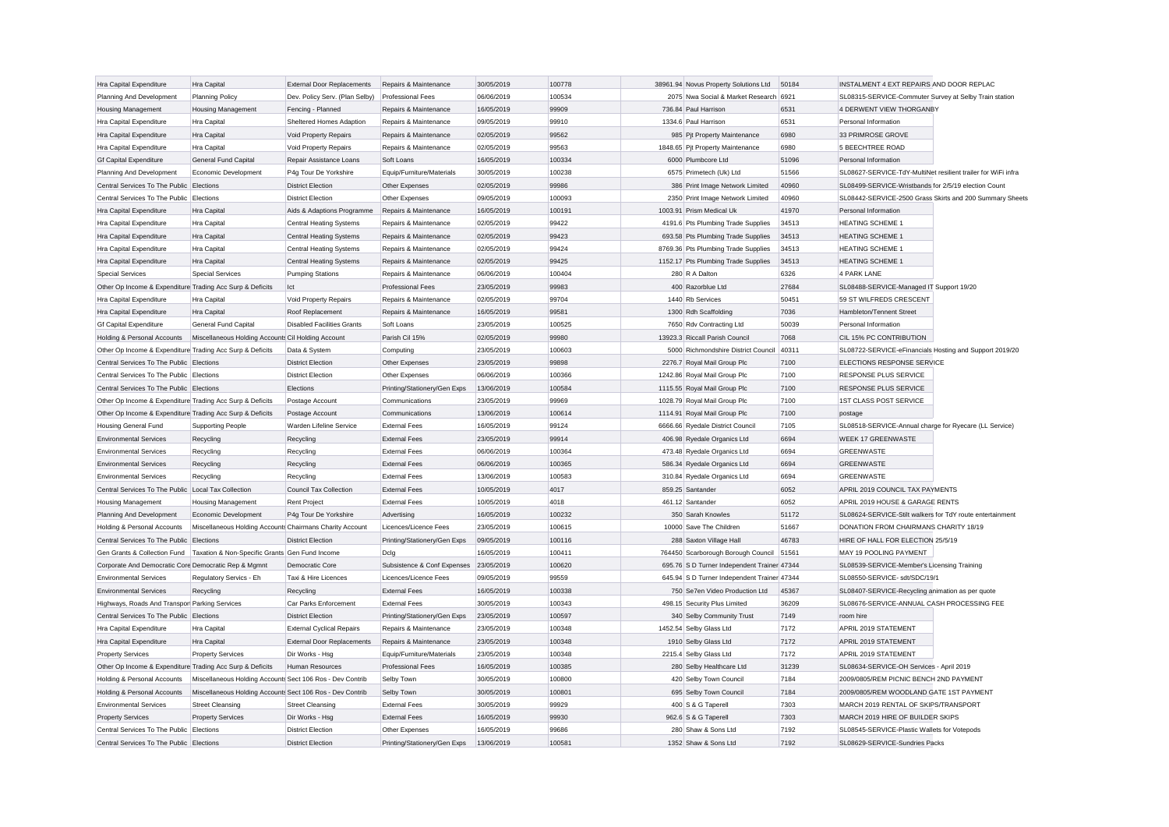| Hra Capital Expenditure                                   | Hra Capital                                                                   | <b>External Door Replacements</b> | Repairs & Maintenance        | 30/05/2019 | 100778 | 38961.94 Novus Property Solutions Ltd       | 50184 | INSTALMENT 4 EXT REPAIRS AND DOOR REPLAC                      |                                                          |
|-----------------------------------------------------------|-------------------------------------------------------------------------------|-----------------------------------|------------------------------|------------|--------|---------------------------------------------|-------|---------------------------------------------------------------|----------------------------------------------------------|
| Planning And Development                                  | <b>Planning Policy</b>                                                        | Dev. Policy Serv. (Plan Selby)    | <b>Professional Fees</b>     | 06/06/2019 | 100534 | 2075 Nwa Social & Market Research 6921      |       | SL08315-SERVICE-Commuter Survey at Selby Train station        |                                                          |
| <b>Housing Management</b>                                 | <b>Housing Management</b>                                                     | Fencing - Planned                 | Repairs & Maintenance        | 16/05/2019 | 99909  | 736.84 Paul Harrison                        | 6531  | 4 DERWENT VIEW THORGANBY                                      |                                                          |
| Hra Capital Expenditure                                   | Hra Capital                                                                   | Sheltered Homes Adaption          | Repairs & Maintenance        | 09/05/2019 | 99910  | 1334.6 Paul Harrison                        | 6531  | Personal Information                                          |                                                          |
| Hra Capital Expenditure                                   | Hra Capital                                                                   | Void Property Repairs             | Repairs & Maintenance        | 02/05/2019 | 99562  | 985 Pjt Property Maintenance                | 6980  | 33 PRIMROSE GROVE                                             |                                                          |
| Hra Capital Expenditure                                   | Hra Capital                                                                   | Void Property Repairs             | Repairs & Maintenance        | 02/05/2019 | 99563  | 1848.65 Pjt Property Maintenance            | 6980  | <b>5 BEECHTREE ROAD</b>                                       |                                                          |
| <b>Gf Capital Expenditure</b>                             | General Fund Capital                                                          | Repair Assistance Loans           | Soft Loans                   | 16/05/2019 | 100334 | 6000 Plumbcore Ltd                          | 51096 | Personal Information                                          |                                                          |
| Planning And Development                                  | Economic Development                                                          | P4g Tour De Yorkshire             | Equip/Furniture/Materials    | 30/05/2019 | 100238 | 6575 Primetech (Uk) Ltd                     | 51566 | SL08627-SERVICE-TdY-MultiNet resilient trailer for WiFi infra |                                                          |
| Central Services To The Public Elections                  |                                                                               | <b>District Election</b>          | Other Expenses               | 02/05/2019 | 99986  | 386 Print Image Network Limited             | 40960 | SL08499-SERVICE-Wristbands for 2/5/19 election Count          |                                                          |
| Central Services To The Public Elections                  |                                                                               | <b>District Election</b>          | Other Expenses               | 09/05/2019 | 100093 | 2350 Print Image Network Limited            | 40960 |                                                               | SL08442-SERVICE-2500 Grass Skirts and 200 Summary Sheets |
| Hra Capital Expenditure                                   | Hra Capital                                                                   | Aids & Adaptions Programme        | Repairs & Maintenance        | 16/05/2019 | 100191 | 1003.91 Prism Medical Uk                    | 41970 | Personal Information                                          |                                                          |
| Hra Capital Expenditure                                   | Hra Capital                                                                   | <b>Central Heating Systems</b>    | Repairs & Maintenance        | 02/05/2019 | 99422  | 4191.6 Pts Plumbing Trade Supplies          | 34513 | <b>HEATING SCHEME 1</b>                                       |                                                          |
| Hra Capital Expenditure                                   | Hra Capital                                                                   | <b>Central Heating Systems</b>    | Repairs & Maintenance        | 02/05/2019 | 99423  | 693.58 Pts Plumbing Trade Supplies          | 34513 | <b>HEATING SCHEME 1</b>                                       |                                                          |
| Hra Capital Expenditure                                   | Hra Capital                                                                   | <b>Central Heating Systems</b>    | Repairs & Maintenance        | 02/05/2019 | 99424  | 8769.36 Pts Plumbing Trade Supplies         | 34513 | <b>HEATING SCHEME 1</b>                                       |                                                          |
| Hra Capital Expenditure                                   | Hra Capital                                                                   | <b>Central Heating Systems</b>    | Repairs & Maintenance        | 02/05/2019 | 99425  | 1152.17 Pts Plumbing Trade Supplies         | 34513 | <b>HEATING SCHEME 1</b>                                       |                                                          |
| <b>Special Services</b>                                   | <b>Special Services</b>                                                       | <b>Pumping Stations</b>           | Repairs & Maintenance        | 06/06/2019 | 100404 | 280 R A Dalton                              | 6326  | 4 PARK LANE                                                   |                                                          |
| Other Op Income & Expenditure Trading Acc Surp & Deficits |                                                                               | Ict                               | <b>Professional Fees</b>     | 23/05/2019 | 99983  | 400 Razorblue Ltd                           | 27684 | SL08488-SERVICE-Managed IT Support 19/20                      |                                                          |
| Hra Capital Expenditure                                   | Hra Capital                                                                   | Void Property Repairs             | Repairs & Maintenance        | 02/05/2019 | 99704  | 1440 Rb Services                            | 50451 | 59 ST WILFREDS CRESCENT                                       |                                                          |
| Hra Capital Expenditure                                   | Hra Capital                                                                   | Roof Replacement                  | Repairs & Maintenance        | 16/05/2019 | 99581  | 1300 Rdh Scaffolding                        | 7036  | Hambleton/Tennent Street                                      |                                                          |
| <b>Gf Capital Expenditure</b>                             | General Fund Capital                                                          | <b>Disabled Facilities Grants</b> | Soft Loans                   | 23/05/2019 | 100525 | 7650 Rdv Contracting Ltd                    | 50039 | Personal Information                                          |                                                          |
| Holding & Personal Accounts                               | Miscellaneous Holding Accounts Cil Holding Account                            |                                   | Parish Cil 15%               | 02/05/2019 | 99980  | 13923.3 Riccall Parish Council              | 7068  | CIL 15% PC CONTRIBUTION                                       |                                                          |
| Other Op Income & Expenditure Trading Acc Surp & Deficits |                                                                               | Data & System                     | Computing                    | 23/05/2019 | 100603 | 5000 Richmondshire District Council 40311   |       | SL08722-SERVICE-eFinancials Hosting and Support 2019/20       |                                                          |
| Central Services To The Public Elections                  |                                                                               | <b>District Election</b>          | Other Expenses               | 23/05/2019 | 99898  | 2276.7 Royal Mail Group Plc                 | 7100  | ELECTIONS RESPONSE SERVICE                                    |                                                          |
| Central Services To The Public Elections                  |                                                                               | <b>District Election</b>          | Other Expenses               | 06/06/2019 | 100366 | 1242.86 Royal Mail Group Plc                | 7100  | <b>RESPONSE PLUS SERVICE</b>                                  |                                                          |
| Central Services To The Public Elections                  |                                                                               | Elections                         | Printing/Stationery/Gen Exps | 13/06/2019 | 100584 | 1115.55 Royal Mail Group Plc                | 7100  | RESPONSE PLUS SERVICE                                         |                                                          |
| Other Op Income & Expenditure Trading Acc Surp & Deficits |                                                                               | Postage Account                   | Communications               | 23/05/2019 | 99969  | 1028.79 Royal Mail Group Plc                | 7100  | <b>1ST CLASS POST SERVICE</b>                                 |                                                          |
| Other Op Income & Expenditure Trading Acc Surp & Deficits |                                                                               | Postage Account                   | Communications               | 13/06/2019 | 100614 | 1114.91 Royal Mail Group Plc                | 7100  | postage                                                       |                                                          |
| <b>Housing General Fund</b>                               | Supporting People                                                             | Warden Lifeline Service           | <b>External Fees</b>         | 16/05/2019 | 99124  | 6666.66 Ryedale District Council            | 7105  | SL08518-SERVICE-Annual charge for Ryecare (LL Service)        |                                                          |
| <b>Environmental Services</b>                             | Recycling                                                                     | Recycling                         | <b>External Fees</b>         | 23/05/2019 | 99914  | 406.98 Ryedale Organics Ltd                 | 6694  | <b>WEEK 17 GREENWASTE</b>                                     |                                                          |
| <b>Environmental Services</b>                             | Recycling                                                                     | Recycling                         | <b>External Fees</b>         | 06/06/2019 | 100364 | 473.48 Ryedale Organics Ltd                 | 6694  | <b>GREENWASTE</b>                                             |                                                          |
| <b>Environmental Services</b>                             | Recycling                                                                     | Recycling                         | <b>External Fees</b>         | 06/06/2019 | 100365 | 586.34 Ryedale Organics Ltd                 | 6694  | <b>GREENWASTE</b>                                             |                                                          |
| <b>Environmental Services</b>                             | Recycling                                                                     | Recycling                         | <b>External Fees</b>         | 13/06/2019 | 100583 | 310.84 Ryedale Organics Ltd                 | 6694  | <b>GREENWASTE</b>                                             |                                                          |
| Central Services To The Public Local Tax Collection       |                                                                               | Council Tax Collection            | <b>External Fees</b>         | 10/05/2019 | 4017   | 859.25 Santander                            | 6052  | APRIL 2019 COUNCIL TAX PAYMENTS                               |                                                          |
| <b>Housing Management</b>                                 | <b>Housing Management</b>                                                     | <b>Rent Project</b>               | <b>External Fees</b>         | 10/05/2019 | 4018   | 461.12 Santander                            | 6052  | APRIL 2019 HOUSE & GARAGE RENTS                               |                                                          |
| Planning And Development                                  | Economic Development                                                          | P4g Tour De Yorkshire             | Advertising                  | 16/05/2019 | 100232 | 350 Sarah Knowles                           | 51172 | SL08624-SERVICE-Stilt walkers for TdY route entertainment     |                                                          |
| Holding & Personal Accounts                               | Miscellaneous Holding Accounts Chairmans Charity Account                      |                                   | Licences/Licence Fees        | 23/05/2019 | 100615 | 10000 Save The Children                     | 51667 | DONATION FROM CHAIRMANS CHARITY 18/19                         |                                                          |
| Central Services To The Public Elections                  |                                                                               | <b>District Election</b>          | Printing/Stationery/Gen Exps | 09/05/2019 | 100116 | 288 Saxton Village Hall                     | 46783 | HIRE OF HALL FOR ELECTION 25/5/19                             |                                                          |
|                                                           | Gen Grants & Collection Fund   Taxation & Non-Specific Grants Gen Fund Income |                                   | Dclg                         | 16/05/2019 | 100411 | 764450 Scarborough Borough Council 51561    |       | MAY 19 POOLING PAYMENT                                        |                                                          |
| Corporate And Democratic Core Democratic Rep & Mgmnt      |                                                                               | Democratic Core                   | Subsistence & Conf Expenses  | 23/05/2019 | 100620 | 695.76 S D Turner Independent Trainer 47344 |       | SL08539-SERVICE-Member's Licensing Training                   |                                                          |
| <b>Environmental Services</b>                             | Regulatory Servics - Eh                                                       | Taxi & Hire Licences              | Licences/Licence Fees        | 09/05/2019 | 99559  | 645.94 S D Turner Independent Trainer 47344 |       | SL08550-SERVICE- sdt/SDC/19/1                                 |                                                          |
| <b>Environmental Services</b>                             | Recycling                                                                     | Recycling                         | <b>External Fees</b>         | 16/05/2019 | 100338 | 750 Se7en Video Production Ltd              | 45367 | SL08407-SERVICE-Recycling animation as per quote              |                                                          |
| Highways, Roads And Transpor Parking Services             |                                                                               | Car Parks Enforcement             | <b>External Fees</b>         | 30/05/2019 | 100343 | 498.15 Security Plus Limited                | 36209 | SL08676-SERVICE-ANNUAL CASH PROCESSING FEE                    |                                                          |
| Central Services To The Public Elections                  |                                                                               | <b>District Election</b>          | Printing/Stationery/Gen Exps | 23/05/2019 | 100597 | 340 Selby Community Trust                   | 7149  | room hire                                                     |                                                          |
| Hra Capital Expenditure                                   | Hra Capital                                                                   | <b>External Cyclical Repairs</b>  | Repairs & Maintenance        | 23/05/2019 | 100348 | 1452.54 Selby Glass Ltd                     | 7172  | APRIL 2019 STATEMENT                                          |                                                          |
| Hra Capital Expenditure                                   | Hra Capital                                                                   | <b>External Door Replacements</b> | Repairs & Maintenance        | 23/05/2019 | 100348 | 1910 Selby Glass Ltd                        | 7172  | APRIL 2019 STATEMENT                                          |                                                          |
| <b>Property Services</b>                                  | <b>Property Services</b>                                                      | Dir Works - Hsg                   | Equip/Furniture/Materials    | 23/05/2019 | 100348 | 2215.4 Selby Glass Ltd                      | 7172  | APRIL 2019 STATEMENT                                          |                                                          |
| Other Op Income & Expenditure Trading Acc Surp & Deficits |                                                                               | <b>Human Resources</b>            | <b>Professional Fees</b>     | 16/05/2019 | 100385 | 280 Selby Healthcare Ltd                    | 31239 | SL08634-SERVICE-OH Services - April 2019                      |                                                          |
| Holding & Personal Accounts                               | Miscellaneous Holding Accounts Sect 106 Ros - Dev Contrib                     |                                   | Selby Town                   | 30/05/2019 | 100800 | 420 Selby Town Council                      | 7184  | 2009/0805/REM PICNIC BENCH 2ND PAYMENT                        |                                                          |
| Holding & Personal Accounts                               | Miscellaneous Holding Accounts Sect 106 Ros - Dev Contrib                     |                                   | Selby Town                   | 30/05/2019 | 100801 | 695 Selby Town Council                      | 7184  | 2009/0805/REM WOODLAND GATE 1ST PAYMENT                       |                                                          |
| <b>Environmental Services</b>                             | <b>Street Cleansing</b>                                                       | <b>Street Cleansing</b>           | <b>External Fees</b>         | 30/05/2019 | 99929  | 400 S & G Taperell                          | 7303  | MARCH 2019 RENTAL OF SKIPS/TRANSPORT                          |                                                          |
| <b>Property Services</b>                                  | <b>Property Services</b>                                                      | Dir Works - Hsg                   | <b>External Fees</b>         | 16/05/2019 | 99930  | 962.6 S & G Taperell                        | 7303  | MARCH 2019 HIRE OF BUILDER SKIPS                              |                                                          |
| Central Services To The Public Elections                  |                                                                               | <b>District Election</b>          | Other Expenses               | 16/05/2019 | 99686  | 280 Shaw & Sons Ltd                         | 7192  | SL08545-SERVICE-Plastic Wallets for Votepods                  |                                                          |
| Central Services To The Public Elections                  |                                                                               | <b>District Election</b>          | Printing/Stationery/Gen Exps | 13/06/2019 | 100581 | 1352 Shaw & Sons Ltd                        | 7192  | SL08629-SERVICE-Sundries Packs                                |                                                          |
|                                                           |                                                                               |                                   |                              |            |        |                                             |       |                                                               |                                                          |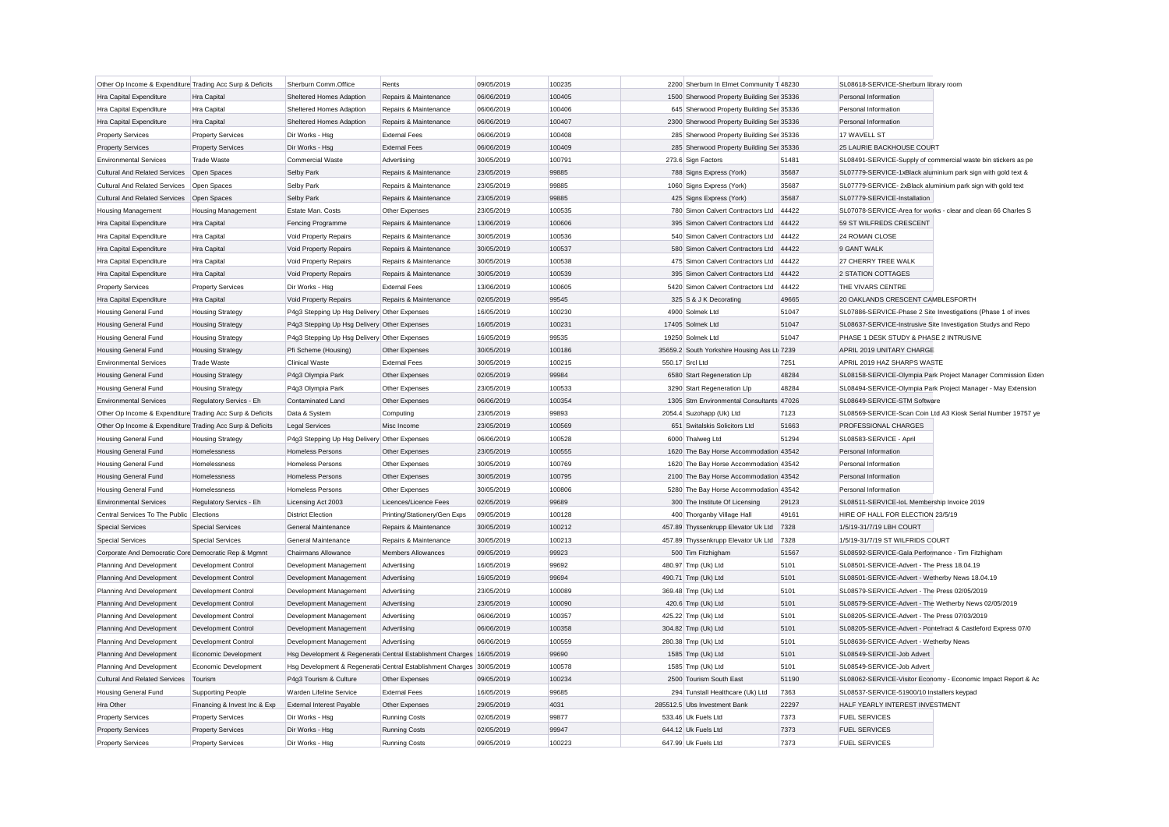| Other Op Income & Expenditure Trading Acc Surp & Deficits |                                                   | Sherburn Comm.Office                         | Rents                                                                 | 09/05/2019               | 100235 | 2200 Sherburn In Elmet Community T 48230     |              | SL08618-SERVICE-Sherburn library room                                                                  |                                                               |
|-----------------------------------------------------------|---------------------------------------------------|----------------------------------------------|-----------------------------------------------------------------------|--------------------------|--------|----------------------------------------------|--------------|--------------------------------------------------------------------------------------------------------|---------------------------------------------------------------|
| <b>Hra Capital Expenditure</b>                            | Hra Capital                                       | Sheltered Homes Adaption                     | Repairs & Maintenance                                                 | 06/06/2019               | 100405 | 1500 Sherwood Property Building Ser 35336    |              | Personal Information                                                                                   |                                                               |
| Hra Capital Expenditure                                   | Hra Capital                                       | Sheltered Homes Adaption                     | Repairs & Maintenance                                                 | 06/06/2019               | 100406 | 645 Sherwood Property Building Ser 35336     |              | Personal Information                                                                                   |                                                               |
| Hra Capital Expenditure                                   | Hra Capital                                       | Sheltered Homes Adaption                     | Repairs & Maintenance                                                 | 06/06/2019               | 100407 | 2300 Sherwood Property Building Ser 35336    |              | Personal Information                                                                                   |                                                               |
| <b>Property Services</b>                                  | <b>Property Services</b>                          | Dir Works - Hsg                              | <b>External Fees</b>                                                  | 06/06/2019               | 100408 | 285 Sherwood Property Building Ser 35336     |              | 17 WAVELL ST                                                                                           |                                                               |
| <b>Property Services</b>                                  | <b>Property Services</b>                          | Dir Works - Hsg                              | <b>External Fees</b>                                                  | 06/06/2019               | 100409 | 285 Sherwood Property Building Ser 35336     |              | 25 LAURIE BACKHOUSE COURT                                                                              |                                                               |
| <b>Environmental Services</b>                             | <b>Trade Waste</b>                                | <b>Commercial Waste</b>                      | Advertising                                                           | 30/05/2019               | 100791 | 273.6 Sign Factors                           | 51481        |                                                                                                        | SL08491-SERVICE-Supply of commercial waste bin stickers as pe |
| <b>Cultural And Related Services</b>                      | Open Spaces                                       | Selby Park                                   | Repairs & Maintenance                                                 | 23/05/2019               | 99885  | 788 Signs Express (York)                     | 35687        |                                                                                                        | SL07779-SERVICE-1xBlack aluminium park sign with gold text &  |
| <b>Cultural And Related Services</b>                      | Open Spaces                                       | Selby Park                                   | Repairs & Maintenance                                                 | 23/05/2019               | 99885  | 1060 Signs Express (York)                    | 35687        | SL07779-SERVICE-2xBlack aluminium park sign with gold text                                             |                                                               |
| <b>Cultural And Related Services</b>                      | Open Spaces                                       | Selby Park                                   | Repairs & Maintenance                                                 | 23/05/2019               | 99885  | 425 Signs Express (York)                     | 35687        | SL07779-SERVICE-Installation                                                                           |                                                               |
| <b>Housing Management</b>                                 | <b>Housing Management</b>                         | Estate Man. Costs                            | Other Expenses                                                        | 23/05/2019               | 100535 | 780 Simon Calvert Contractors Ltd            | 44422        |                                                                                                        | SL07078-SERVICE-Area for works - clear and clean 66 Charles S |
| Hra Capital Expenditure                                   | Hra Capital                                       | <b>Fencing Programme</b>                     | Repairs & Maintenance                                                 | 13/06/2019               | 100606 | 395 Simon Calvert Contractors Ltd            | 44422        | 59 ST WILFREDS CRESCENT                                                                                |                                                               |
| Hra Capital Expenditure                                   | Hra Capital                                       | Void Property Repairs                        | Repairs & Maintenance                                                 | 30/05/2019               | 100536 | 540 Simon Calvert Contractors Ltd            | 44422        | 24 ROMAN CLOSE                                                                                         |                                                               |
| Hra Capital Expenditure                                   | Hra Capital                                       | Void Property Repairs                        | Repairs & Maintenance                                                 | 30/05/2019               | 100537 | 580 Simon Calvert Contractors Ltd            | 44422        | 9 GANT WALK                                                                                            |                                                               |
| <b>Hra Capital Expenditure</b>                            | Hra Capital                                       | Void Property Repairs                        | Repairs & Maintenance                                                 | 30/05/2019               | 100538 | 475 Simon Calvert Contractors Ltd            | 44422        | 27 CHERRY TREE WALK                                                                                    |                                                               |
| Hra Capital Expenditure                                   | Hra Capital                                       | Void Property Repairs                        | Repairs & Maintenance                                                 | 30/05/2019               | 100539 | 395 Simon Calvert Contractors Ltd            | 44422        | 2 STATION COTTAGES                                                                                     |                                                               |
| <b>Property Services</b>                                  | <b>Property Services</b>                          | Dir Works - Hsg                              | <b>External Fees</b>                                                  | 13/06/2019               | 100605 | 5420 Simon Calvert Contractors Ltd           | 44422        | THE VIVARS CENTRE                                                                                      |                                                               |
| Hra Capital Expenditure                                   | Hra Capital                                       | Void Property Repairs                        | Repairs & Maintenance                                                 | 02/05/2019               | 99545  | 325 S & J K Decorating                       | 49665        | 20 OAKLANDS CRESCENT CAMBLESFORTH                                                                      |                                                               |
| <b>Housing General Fund</b>                               | <b>Housing Strategy</b>                           | P4g3 Stepping Up Hsg Delivery Other Expenses |                                                                       | 16/05/2019               | 100230 | 4900 Solmek Ltd                              | 51047        |                                                                                                        | SL07886-SERVICE-Phase 2 Site Investigations (Phase 1 of inves |
| <b>Housing General Fund</b>                               | <b>Housing Strategy</b>                           | P4q3 Stepping Up Hsg Delivery Other Expenses |                                                                       | 16/05/2019               | 100231 | 17405 Solmek Ltd                             | 51047        |                                                                                                        | SL08637-SERVICE-Instrusive Site Investigation Studys and Repo |
| <b>Housing General Fund</b>                               | <b>Housing Strategy</b>                           | P4g3 Stepping Up Hsg Delivery Other Expenses |                                                                       | 16/05/2019               | 99535  | 19250 Solmek Ltd                             | 51047        | PHASE 1 DESK STUDY & PHASE 2 INTRUSIVE                                                                 |                                                               |
| <b>Housing General Fund</b>                               | <b>Housing Strategy</b>                           | Pfi Scheme (Housing)                         | Other Expenses                                                        | 30/05/2019               | 100186 | 35659.2 South Yorkshire Housing Ass Lti 7239 |              | APRIL 2019 UNITARY CHARGE                                                                              |                                                               |
| <b>Environmental Services</b>                             | <b>Trade Waste</b>                                | <b>Clinical Waste</b>                        | <b>External Fees</b>                                                  | 30/05/2019               | 100215 | 550.17 Srcl Ltd                              | 7251         | APRIL 2019 HAZ SHARPS WASTE                                                                            |                                                               |
| <b>Housing General Fund</b>                               | <b>Housing Strategy</b>                           | P4g3 Olympia Park                            | Other Expenses                                                        | 02/05/2019               | 99984  | 6580 Start Regeneration Llp                  | 48284        |                                                                                                        | SL08158-SERVICE-Olympia Park Project Manager Commission Exter |
| <b>Housing General Fund</b>                               | <b>Housing Strategy</b>                           | P4g3 Olympia Park                            | Other Expenses                                                        | 23/05/2019               | 100533 | 3290 Start Regeneration Llp                  | 48284        |                                                                                                        | SL08494-SERVICE-Olympia Park Project Manager - May Extension  |
| <b>Environmental Services</b>                             | Regulatory Servics - Eh                           | Contaminated Land                            | Other Expenses                                                        | 06/06/2019               | 100354 | 1305 Stm Environmental Consultants 47026     |              | SL08649-SERVICE-STM Software                                                                           |                                                               |
| Other Op Income & Expenditure Trading Acc Surp & Deficits |                                                   | Data & System                                | Computing                                                             | 23/05/2019               | 99893  | 2054.4 Suzohapp (Uk) Ltd                     | 7123         |                                                                                                        | SL08569-SERVICE-Scan Coin Ltd A3 Kiosk Serial Number 19757 ye |
| Other Op Income & Expenditure Trading Acc Surp & Deficits |                                                   | <b>Legal Services</b>                        | Misc Income                                                           | 23/05/2019               | 100569 | 651 Switalskis Solicitors Ltd                | 51663        | PROFESSIONAL CHARGES                                                                                   |                                                               |
| <b>Housing General Fund</b>                               | <b>Housing Strategy</b>                           | P4q3 Stepping Up Hsg Delivery Other Expenses |                                                                       | 06/06/2019               | 100528 | 6000 Thalweg Ltd                             | 51294        | SL08583-SERVICE - April                                                                                |                                                               |
| <b>Housing General Fund</b>                               | Homelessness                                      | <b>Homeless Persons</b>                      | Other Expenses                                                        | 23/05/2019               | 100555 | 1620 The Bay Horse Accommodation 43542       |              | Personal Information                                                                                   |                                                               |
| <b>Housing General Fund</b>                               | Homelessness                                      | <b>Homeless Persons</b>                      | Other Expenses                                                        | 30/05/2019               | 100769 | 1620 The Bay Horse Accommodation 43542       |              | Personal Information                                                                                   |                                                               |
| <b>Housing General Fund</b>                               | Homelessness                                      | <b>Homeless Persons</b>                      | Other Expenses                                                        | 30/05/2019               | 100795 | 2100 The Bay Horse Accommodation 43542       |              | Personal Information                                                                                   |                                                               |
| <b>Housing General Fund</b>                               | Homelessness                                      | <b>Homeless Persons</b>                      | Other Expenses                                                        | 30/05/2019               | 100806 | 5280 The Bay Horse Accommodation 43542       |              | Personal Information                                                                                   |                                                               |
| <b>Environmental Services</b>                             | Regulatory Servics - Eh                           | Licensing Act 2003                           | Licences/Licence Fees                                                 | 02/05/2019               | 99689  | 300 The Institute Of Licensing               | 29123        | SL08511-SERVICE-IoL Membership Invoice 2019                                                            |                                                               |
| Central Services To The Public                            | Elections                                         | <b>District Election</b>                     | Printing/Stationery/Gen Exps                                          | 09/05/2019               | 100128 | 400 Thorganby Village Hall                   | 49161        | HIRE OF HALL FOR ELECTION 23/5/19                                                                      |                                                               |
| <b>Special Services</b>                                   | <b>Special Services</b>                           | General Maintenance                          | Repairs & Maintenance                                                 | 30/05/2019               | 100212 | 457.89 Thyssenkrupp Elevator Uk Ltd 7328     |              | 1/5/19-31/7/19 LBH COURT                                                                               |                                                               |
| <b>Special Services</b>                                   | <b>Special Services</b>                           | General Maintenance                          | Repairs & Maintenance                                                 | 30/05/2019               | 100213 | 457.89 Thyssenkrupp Elevator Uk Ltd 7328     |              | 1/5/19-31/7/19 ST WILFRIDS COURT                                                                       |                                                               |
| Corporate And Democratic Core Democratic Rep & Mgmnt      |                                                   | Chairmans Allowance                          | <b>Members Allowances</b>                                             | 09/05/2019               | 99923  | 500 Tim Fitzhigham                           | 51567        | SL08592-SERVICE-Gala Performance - Tim Fitzhigham                                                      |                                                               |
| Planning And Development                                  | Development Control                               | Development Management                       | Advertising                                                           | 16/05/2019               | 99692  | 480.97 Tmp (Uk) Ltd                          | 5101         | SL08501-SERVICE-Advert - The Press 18.04.19                                                            |                                                               |
| Planning And Development                                  | Development Control                               | Development Management                       | Advertising                                                           | 16/05/2019               | 99694  | 490.71 Tmp (Uk) Ltd                          | 5101         | SL08501-SERVICE-Advert - Wetherby News 18.04.19                                                        |                                                               |
|                                                           |                                                   |                                              |                                                                       |                          | 100089 |                                              |              |                                                                                                        |                                                               |
| Planning And Development                                  | Development Control<br><b>Development Control</b> | Development Management                       | Advertising                                                           | 23/05/2019<br>23/05/2019 | 100090 | 369.48 Tmp (Uk) Ltd                          | 5101<br>5101 | SL08579-SERVICE-Advert - The Press 02/05/2019<br>SL08579-SERVICE-Advert - The Wetherby News 02/05/2019 |                                                               |
| Planning And Development                                  |                                                   | Development Management                       | Advertising                                                           |                          |        | 420.6 Tmp (Uk) Ltd                           |              |                                                                                                        |                                                               |
| Planning And Development                                  | <b>Development Control</b>                        | Development Management                       | Advertising                                                           | 06/06/2019               | 100357 | 425.22 Tmp (Uk) Ltd                          | 5101         | SL08205-SERVICE-Advert - The Press 07/03/2019                                                          |                                                               |
| Planning And Development                                  | <b>Development Control</b>                        | Development Management                       | Advertising                                                           | 06/06/2019               | 100358 | 304.82 Tmp (Uk) Ltd                          | 5101         |                                                                                                        | SL08205-SERVICE-Advert - Pontefract & Castleford Express 07/0 |
| Planning And Development                                  | <b>Development Control</b>                        | Development Management                       | Advertising                                                           | 06/06/2019               | 100559 | 280.38 Tmp (Uk) Ltd                          | 5101         | SL08636-SERVICE-Advert - Wetherby News                                                                 |                                                               |
| Planning And Development                                  | Economic Development                              |                                              | Hsg Development & Regenerati Central Establishment Charges 16/05/2019 |                          | 99690  | 1585 Tmp (Uk) Ltd                            | 5101         | SL08549-SERVICE-Job Advert                                                                             |                                                               |
| Planning And Development                                  | Economic Development                              |                                              | Hsg Development & Regenerati Central Establishment Charges 30/05/2019 |                          | 100578 | 1585 Tmp (Uk) Ltd                            | 5101         | SL08549-SERVICE-Job Advert                                                                             |                                                               |
| <b>Cultural And Related Services</b>                      | Tourism                                           | P4g3 Tourism & Culture                       | Other Expenses                                                        | 09/05/2019               | 100234 | 2500 Tourism South East                      | 51190        |                                                                                                        | SL08062-SERVICE-Visitor Economy - Economic Impact Report & Ad |
| <b>Housing General Fund</b>                               | <b>Supporting People</b>                          | Warden Lifeline Service                      | <b>External Fees</b>                                                  | 16/05/2019               | 99685  | 294 Tunstall Healthcare (Uk) Ltd             | 7363         | SL08537-SERVICE-51900/10 Installers keypad                                                             |                                                               |
| Hra Other                                                 | Financing & Invest Inc & Exp                      | <b>External Interest Payable</b>             | Other Expenses                                                        | 29/05/2019               | 4031   | 285512.5 Ubs Investment Bank                 | 22297        | HALF YEARLY INTEREST INVESTMENT                                                                        |                                                               |
| <b>Property Services</b>                                  | <b>Property Services</b>                          | Dir Works - Hsg                              | <b>Running Costs</b>                                                  | 02/05/2019               | 99877  | 533.46 Uk Fuels Ltd                          | 7373         | <b>FUEL SERVICES</b>                                                                                   |                                                               |
| <b>Property Services</b>                                  | <b>Property Services</b>                          | Dir Works - Hsg                              | <b>Running Costs</b>                                                  | 02/05/2019               | 99947  | 644.12 Uk Fuels Ltd                          | 7373         | <b>FUEL SERVICES</b>                                                                                   |                                                               |
| <b>Property Services</b>                                  | <b>Property Services</b>                          | Dir Works - Hso                              | <b>Running Costs</b>                                                  | 09/05/2019               | 100223 | 647.99 Uk Fuels Ltd                          | 7373         | <b>FUEL SERVICES</b>                                                                                   |                                                               |